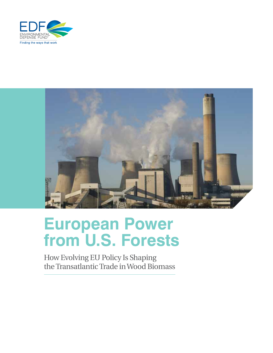



# **European Power from U.S. Forests**

How Evolving EU Policy Is Shaping the Transatlantic Trade in Wood Biomass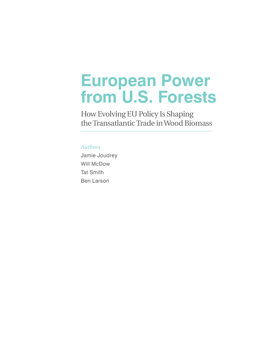# **European Power from U.S. Forests**

How Evolving EU Policy Is Shaping the Transatlantic Trade in Wood Biomass

# *Authors*

Jamie Joudrey Will McDow Tat Smith Ben Larson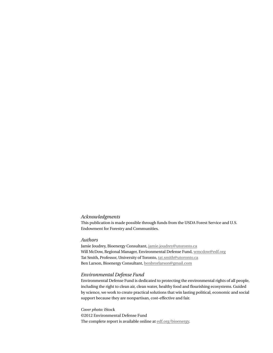### *Acknowledgments*

This publication is made possible through funds from the USDA Forest Service and U.S. Endowment for Forestry and Communities.

### *Authors*

Jamie Joudrey, Bioenergy Consultant, jamie.joudrey@utoronto.ca Will McDow, Regional Manager, Environmental Defense Fund, wmcdow@edf.org Tat Smith, Professor, University of Toronto, tat.smith@utoronto.ca Ben Larson, Bioenergy Consultant, benbrorlarson@gmail.com

### *Environmental Defense Fund*

Environmental Defense Fund is dedicated to protecting the environmental rights of all people, including the right to clean air, clean water, healthy food and flourishing ecosystems. Guided by science, we work to create practical solutions that win lasting political, economic and social support because they are nonpartisan, cost-effective and fair.

*Cover photo:* iStock ©2012 Environmental Defense Fund The complete report is available online at [edf.org/bioenergy.](http://www.edf.org/bioenergy)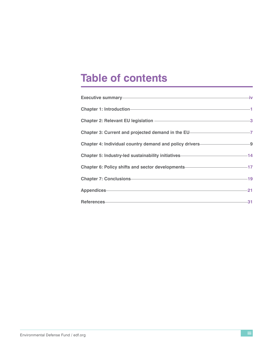# **Table of contents**

| Executive summary-contract to the state of the state of the state of the state of the state of the state of the |     |
|-----------------------------------------------------------------------------------------------------------------|-----|
|                                                                                                                 |     |
|                                                                                                                 |     |
| Chapter 3: Current and projected demand in the EU————————————————————————————————                               |     |
| Chapter 4: Individual country demand and policy drivers-<br>-9                                                  |     |
| Chapter 5: Industry-led sustainability initiatives———————————————14                                             |     |
| Chapter 6: Policy shifts and sector developments-<br>17                                                         |     |
| Chapter 7: Conclusions 19                                                                                       |     |
| Appendices 21                                                                                                   |     |
| References 2008 2009 2009 2009 2009 2009 2010 2020 2031 2040 2051 2052 2053 2054 2055 2056 2057 2058 2059 205   | -31 |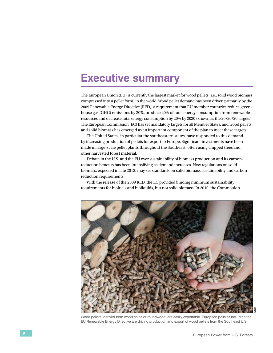# <span id="page-5-0"></span>**Executive summary**

The European Union (EU) is currently the largest market for wood pellets (i.e., solid wood biomass compressed into a pellet form) in the world. Wood pellet demand has been driven primarily by the 2009 Renewable Energy Directive (RED), a requirement that EU member countries reduce greenhouse gas (GHG) emissions by 20%, produce 20% of total energy consumption from renewable resources and decrease total energy consumption by 20% by 2020 (known as the 20/20/20 targets). The European Commission (EC) has set mandatory targets for all Member States, and wood pellets and solid biomass has emerged as an important component of the plan to meet these targets.

The United States, in particular the southeastern states, have responded to this demand by increasing production of pellets for export to Europe. Significant investments have been made in large-scale pellet plants throughout the Southeast, often using chipped trees and other harvested forest material.

Debate in the U.S. and the EU over sustainability of biomass production and its carbonreduction benefits has been intensifying as demand increases. New regulations on solid biomass, expected in late 2012, may set standards on solid biomass sustainability and carbon reduction requirements.

With the release of the 2009 RED, the EC provided binding minimum sustainability requirements for biofuels and bioliquids, but not solid biomass. In 2010, the Commission



Wood pellets, derived from wood chips or roundwood, are easily exportable. European policies including the EU Renewable Energy Directive are driving production and export of wood pellets from the Southeast U.S.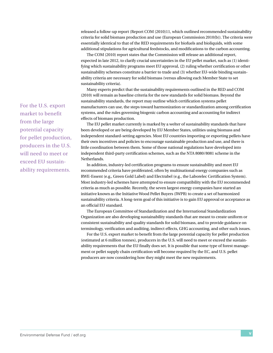released a follow-up report (Report COM (2010)11, which outlined recommended sustainability criteria for solid biomass production and use (European Commission 2010(b)). The criteria were essentially identical to that of the RED requirements for biofuels and bioliquids, with some additional stipulations for agricultural feedstocks, and modifications to the carbon accounting.

The COM (2010) report states that the Commission will release an additional report, expected in late 2012, to clarify crucial uncertainties in the EU pellet market, such as (1) identifying which sustainability programs meet EU approval, (2) ruling whether certification or other sustainability schemes constitute a barrier to trade and (3) whether EU-wide binding sustainability criteria are necessary for solid biomass (versus allowing each Member State to set sustainability criteria).

Many experts predict that the sustainability requirements outlined in the RED and COM (2010) will remain as baseline criteria for the new standards for solid biomass. Beyond the sustainability standards, the report may outline which certification systems pellet manufacturers can use, the steps toward harmonization or standardization among certification systems, and the rules governing biogenic carbon accounting and accounting for indirect effects of biomass production.

The EU pellet market currently is marked by a welter of sustainability standards that have been developed or are being developed by EU Member States, utilities using biomass and independent standard-setting agencies. Most EU countries importing or exporting pellets have their own incentives and policies to encourage sustainable production and use, and there is little coordination between them. Some of those national regulations have developed into independent third-party certification schemes, such as the NTA 8080/8081 scheme in the Netherlands.

In addition, industry-led certification programs to ensure sustainability and meet EU recommended criteria have proliferated, often by multinational energy companies such as RWE-Essent (e.g., Green Gold Label) and Electrabel (e.g., the Laborelec Certification System). Most industry-led schemes have attempted to ensure compatibility with the EU recommended criteria as much as possible. Recently, the seven largest energy companies have started an initiative known as the Initiative Wood Pellet Buyers (IWPB) to create a set of harmonized sustainability criteria. A long-term goal of this initiative is to gain EU approval or acceptance as an official EU standard.

The European Committee of Standardization and the International Standardization Organization are also developing sustainability standards that are meant to create uniform or consistent sustainability and quality standards for solid biomass, and to provide guidance on terminology, verification and auditing, indirect effects, GHG accounting, and other such issues.

For the U.S. export market to benefit from the large potential capacity for pellet production (estimated at 6 million tonnes), producers in the U.S. will need to meet or exceed the sustainability requirements that the EU finally does set. It is possible that some type of forest management or pellet supply chain certification will become required by the EC, and U.S. pellet producers are now considering how they might meet the new requirements.

For the U.S. export market to benefit from the large potential capacity for pellet production, producers in the U.S. will need to meet or exceed EU sustainability requirements.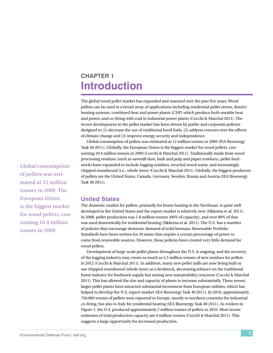# <span id="page-8-0"></span>**Chapter 1 Introduction**

The global wood pellet market has expanded and matured over the past five years. Wood pellets can be used in a broad array of applications including residential pellet stoves, district heating systems, combined heat and power plants (CHP) which produce both useable heat and power, and co-firing with coal in industrial power plants (Cocchi & Marchal 2011). The recent development in the pellet market has been driven by public and corporate policies designed to (1) decrease the use of traditional fossil fuels, (2) address concern over the effects of climate change and (3) improve energy security and independence.

Global consumption of pellets was estimated at 12 million tonnes in 2009 (IEA Bioenergy Task 40 2011). Globally, the European Union is the biggest market for wood pellets, consuming 10.4 million tonnes in 2009 (Cocchi & Marchal 2011). Traditionally made from wood processing residues (such as sawmill dust, bark and pulp and paper residues), pellet feedstocks have expanded to include logging residues, recycled wood waste, and increasingly chipped roundwood (i.e., whole trees) (Cocchi & Marchal 2011). Globally, the biggest producers of pellets are the United States, Canada, Germany, Sweden, Russia and Austria (IEA Bioenergy Task 40 2011).

# **United States**

The domestic market for pellets, primarily for home heating in the Northeast, is quite well developed in the United States and the export market is relatively new (Sikkema et al. 2011). In 2008, pellet production was 1.8 million tonnes (66% of capacity), and over 80% of that was used domestically for residential heating (Sikkema et al. 2011). The U.S. has a number of policies that encourage domestic demand of solid biomass. Renewable Portfolio Standards have been written for 29 states that require a certain percentage of power to come from renewable sources. However, these policies have created very little demand for wood pellets.

Development of large-scale pellet plants throughout the U.S. is ongoing, and the recovery of the logging industry may create as much as 5.5 million tonnes of new residues for pellets in 2012 (Cocchi & Marchal 2011). In addition, many new pellet mills are now being built to use chipped roundwood (whole trees) as a feedstock, decreasing reliance on the traditional forest industry for feedstock supply but raising new sustainability concerns (Cocchi & Marchal 2011). This has allowed the size and capacity of plants to increase substantially. These newer, larger pellet plants have attracted substantial investment from European utilities, which has helped to develop the U.S. export market (IEA Bioenergy Task 40 2011). In 2010, approximately 750,000 tonnes of pellets were exported to Europe, mostly to northern countries for industrial co-firing, but also to Italy for residential heating (IEA Bioenergy Task 40 2011). As evident in Figure 1, the U.S. produced approximately 2 million tonnes of pellets in 2010. Most recent estimates of total production capacity are 6 million tonnes (Cocchi & Marchal 2011). This suggests a large opportunity for increased production.

Global consumption of pellets was estimated at 12 million tonnes in 2009. The European Union is the biggest market for wood pellets, consuming 10.4 million tonnes in 2009.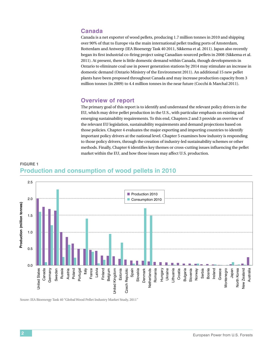# **Canada**

Canada is a net exporter of wood pellets, producing 1.7 million tonnes in 2010 and shipping over 90% of that to Europe via the main international pellet trading ports of Amsterdam, Rotterdam and Antwerp (IEA Bioenergy Task 40 2011, Sikkema et al. 2011). Japan also recently began its first industrial co-firing project using Canadian-sourced pellets in 2008 (Sikkema et al. 2011). At present, there is little domestic demand within Canada, though developments in Ontario to eliminate coal use in power generation stations by 2014 may stimulate an increase in domestic demand (Ontario Ministry of the Environment 2011). An additional 15 new pellet plants have been proposed throughout Canada and may increase production capacity from 3 million tonnes (in 2009) to 4.4 million tonnes in the near future (Cocchi & Marchal 2011).

# **Overview of report**

The primary goal of this report is to identify and understand the relevant policy drivers in the EU, which may drive pellet production in the U.S., with particular emphasis on existing and emerging sustainability requirements. To this end, Chapters 2 and 3 provide an overview of the relevant EU legislation, sustainability requirements and demand projections based on those policies. Chapter 4 evaluates the major exporting and importing countries to identify important policy drivers at the national level. Chapter 5 examines how industry is responding to those policy drivers, through the creation of industry-led sustainability schemes or other methods. Finally, Chapter 6 identifies key themes or cross-cutting issues influencing the pellet market within the EU, and how those issues may affect U.S. production.





Soure: IEA Bioenergy Task 40 "Global Wood Pellet Industry Market Study, 2011"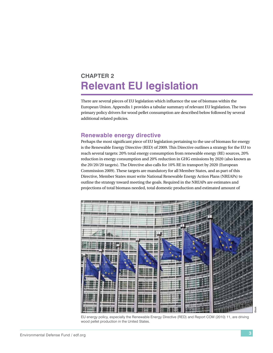# <span id="page-10-0"></span>**Chapter 2 Relevant EU legislation**

There are several pieces of EU legislation which influence the use of biomass within the European Union. Appendix 1 provides a tabular summary of relevant EU legislation. The two primary policy drivers for wood pellet consumption are described below followed by several additional related policies.

# **Renewable energy directive**

Perhaps the most significant piece of EU legislation pertaining to the use of biomass for energy is the Renewable Energy Directive (RED) of 2009. This Directive outlines a strategy for the EU to reach several targets: 20% total energy consumption from renewable energy (RE) sources, 20% reduction in energy consumption and 20% reduction in GHG emissions by 2020 (also known as the 20/20/20 targets). The Directive also calls for 10% RE in transport by 2020 (European Commission 2009). These targets are mandatory for all Member States, and as part of this Directive, Member States must write National Renewable Energy Action Plans (NREAPs) to outline the strategy toward meeting the goals. Required in the NREAPs are estimates and projections of total biomass needed, total domestic production and estimated amount of



EU energy policy, especially the Renewable Energy Directive (RED) and Report COM (2010) 11, are driving wood pellet production in the United States.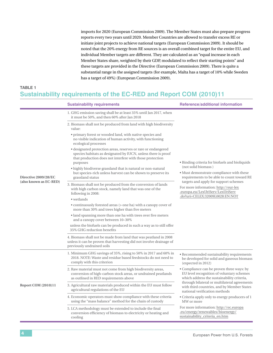imports for 2020 (European Commission 2009). The Member States must also prepare progress reports every two years until 2020. Member Countries are allowed to transfer excess RE or initiate joint projects to achieve national targets (European Commission 2009). It should be noted that the 20% energy from RE sources is an overall combined target for the entire EU, and individual Member targets are different. They are calculated as an "equal increase in each Member States share, weighted by their GDP, modulated to reflect their starting points" and these targets are provided in the Directive (European Commission 2009). There is quite a substantial range in the assigned targets (for example, Malta has a target of 10% while Sweden has a target of 49%) (European Commission 2009).

# **Table 1 Sustainability requirements of the EC-RED and Report COM (2010)11**

|                                                | <b>Sustainability requirements</b>                                                                                                                                                                     | <b>Reference/additional information</b>                                                                                              |  |  |
|------------------------------------------------|--------------------------------------------------------------------------------------------------------------------------------------------------------------------------------------------------------|--------------------------------------------------------------------------------------------------------------------------------------|--|--|
|                                                | 1. GHG emission saving shall be at least 35% until Jan 2017, when<br>it must be 50%, and then 60% after Jan 2018                                                                                       |                                                                                                                                      |  |  |
| Directive 2009/28/EC<br>(also known as EC-RED) | 2. Biomass shall not be produced from land with high biodiversity<br>value:                                                                                                                            |                                                                                                                                      |  |  |
|                                                | • primary forest or wooded land, with native species and<br>no visible indication of human activity, with functioning<br>ecological processes                                                          |                                                                                                                                      |  |  |
|                                                | • designated protection areas, reserves or rare or endangered<br>species habitats as designated by IUCN, unless there is proof<br>that production does not interfere with those protection<br>purposes | • Binding criteria for biofuels and bioliquids                                                                                       |  |  |
|                                                | • highly biodiverse grassland that is natural or non-natural<br>but species-rich unless harvest can be shown to preserve its<br>grassland status                                                       | (not solid biomass)<br>• Must demonstrate compliance with these<br>requirements to be able to count toward RE                        |  |  |
|                                                | 3. Biomass shall not be produced from the conversion of lands<br>with high carbon stock, namely land that was one of the<br>following in 2008:                                                         | targets and apply for support schemes<br>For more information: http://eur-lex<br>.europa.eu/LexUriServ/LexUriServ                    |  |  |
|                                                | • wetlands                                                                                                                                                                                             | .do?uri=CELEX:32009L0028:EN:NOT                                                                                                      |  |  |
|                                                | • continuously forested areas (> one ha) with a canopy cover of<br>more than 30% and trees higher than five meters                                                                                     |                                                                                                                                      |  |  |
|                                                | • land spanning more than one ha with trees over five meters<br>and a canopy cover between 10-30%                                                                                                      |                                                                                                                                      |  |  |
|                                                | unless the biofuels can be produced in such a way as to still offer<br>35% GHG reduction benefits                                                                                                      |                                                                                                                                      |  |  |
|                                                | 4. Biomass shall not be made from land that was peatland in 2008<br>unless it can be proven that harvesting did not involve drainage of<br>previously undrained soils                                  |                                                                                                                                      |  |  |
|                                                | 1. Minimum GHG savings of 35%, rising to 50% in 2017 and 60% in<br>2018. NOTE: Waste and residue based feedstocks do not need to<br>comply with this criterion                                         | • Recommended sustainability requirements<br>be developed for solid and gaseous biomass<br>(expected in 2012)                        |  |  |
|                                                | 2. Raw material must not come from high biodiversity areas,<br>conversion of high-carbon stock areas, or undrained peatlands<br>as outlined in RED requirements above                                  | • Compliance can be proven three ways: by<br>EU level recognition of voluntary schemes<br>which address the sustainability criteria, |  |  |
| <b>Report COM (2010)11</b>                     | 3. Agricultural raw materials produced within the EU must follow<br>agricultural regulations of the EU                                                                                                 | through bilateral or multilateral agreements<br>with third countries, and by Member States<br>national verification methods          |  |  |
|                                                | 4. Economic operators must show compliance with these criteria<br>using the "mass balance" method for the chain of custody                                                                             | • Criteria apply only to energy producers of 1<br>MW or more                                                                         |  |  |
|                                                | 5. LCA methodology must be extended to include the final<br>conversion efficiency of biomass to electricity or heating and<br>cooling                                                                  | For more information: http://ec.europa<br>.eu/energy/renewables/bioenergy/<br>sustainability_criteria_en.htm                         |  |  |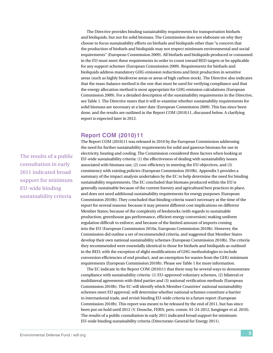The Directive provides binding sustainability requirements for transportation biofuels and bioliquids, but not for solid biomass. The Commission does not elaborate on why they choose to focus sustainability efforts on biofuels and bioliquids other than "a concern that the production of biofuels and bioliquids may not respect minimum environmental and social requirements" (European Commission 2009). All biofuels and bioliquids produced or consumed in the EU must meet these requirements in order to count toward RED targets or be applicable for any support schemes (European Commission 2009). Requirements for biofuels and bioliquids address mandatory GHG emission reductions and limit production in sensitive areas (such as highly biodiverse areas or areas of high carbon stock). The Directive also indicates that the mass-balance method is the one that must be used for verifying compliance and that the energy allocation method is most appropriate for GHG emission calculations (European Commission 2009). For a detailed description of the sustainability requirements in the Directive, see Table 1. The Directive states that it will re-examine whether sustainability requirements for solid biomass are necessary at a later date (European Commission 2009). This has since been done, and the results are outlined in the Report COM (2010)11, discussed below. A clarifying report is expected later in 2012.

# **Report COM (2010)11**

The Report COM (2010)11 was released in 2010 by the European Commission addressing the need for further sustainability requirements for solid and gaseous biomass for use in electricity, heating and cooling. The Commission considered three factors when looking at EU-wide sustainability criteria: (1) the effectiveness of dealing with sustainability issues associated with biomass use, (2) cost-efficiency in meeting the EU objectives, and (3) consistency with existing policies (European Commission 2010b). Appendix 5 provides a summary of the impact analysis undertaken by the EC to help determine the need for binding sustainability requirements. The EC concluded that biomass produced within the EU is generally sustainable because of the current forestry and agricultural best practices in place, and does not need additional sustainability requirements for energy purposes (European Commission 2010b). They concluded that binding criteria wasn't necessary at the time of the report for several reasons: because it may present different cost implications on different Member States; because of the complexity of feedstocks (with regards to sustainable production, greenhouse gas performance, efficient energy conversion) making uniform regulation difficult to enforce; and because of the limited amount of imports coming into the EU (European Commission 2010a, European Commission 2010b). However, the Commission did outline a set of recommended criteria, and suggested that Member States develop their own national sustainability schemes (European Commission 2010b). The criteria they recommended were essentially identical to those for biofuels and bioliquids as outlined in the RED, with the exception of slight modifications of GHG methodologies to include conversion efficiencies of end product, and an exemption for wastes from the GHG minimum requirements (European Commission 2010b). Please see Table 1 for more information.

The EC indicate in the Report COM (2010)11 that there may be several ways to demonstrate compliance with sustainability criteria: (1) EU-approved voluntary schemes, (2) bilateral or multilateral agreements with third parties and (3) national verification methods (European Commission 2010b). The EC will identify which Member Countries' national sustainability schemes meet EU approval, will determine whether national schemes constitute a barrier to international trade, and revisit binding EU-wide criteria in a future report (European Commission 2010b). This report was meant to be released by the end of 2011, but has since been put on hold until 2012 (V. Dossche, FERN, pers. comm. 01-24-2012, Junginger et al. 2010). The results of a public consultation in early 2011 indicated broad support for minimum EU-wide binding sustainability criteria (Directorate-General for Energy 2011).

The results of a public consultation in early 2011 indicated broad support for minimum EU-wide binding sustainability criteria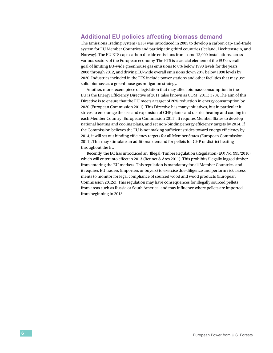# **Additional EU policies affecting biomass demand**

The Emissions Trading System (ETS) was introduced in 2005 to develop a carbon cap-and-trade system for EU Member Countries and participating third countries (Iceland, Liechtenstein, and Norway). The EU ETS caps carbon dioxide emissions from some 12,000 installations across various sectors of the European economy. The ETS is a crucial element of the EU's overall goal of limiting EU-wide greenhouse gas emissions to 8% below 1990 levels for the years 2008 through 2012, and driving EU-wide overall emissions down 20% below 1990 levels by 2020. Industries included in the ETS include power stations and other facilities that may use solid biomass as a greenhouse gas mitigation strategy.

Another, more recent piece of legislation that may affect biomass consumption in the EU is the Energy Efficiency Directive of 2011 (also known as COM (2011) 370). The aim of this Directive is to ensure that the EU meets a target of 20% reduction in energy consumption by 2020 (European Commission 2011). This Directive has many initiatives, but in particular it strives to encourage the use and expansion of CHP plants and district heating and cooling in each Member Country (European Commission 2011). It requires Member States to develop national heating and cooling plans, and set non-binding energy efficiency targets by 2014. If the Commission believes the EU is not making sufficient strides toward energy efficiency by 2014, it will set out binding efficiency targets for all Member States (European Commission 2011). This may stimulate an additional demand for pellets for CHP or district heating throughout the EU.

Recently, the EC has introduced an (Illegal) Timber Regulation (Regulation (EU) No. 995/2010) which will enter into effect in 2013 (Bennet & Ares 2011). This prohibits illegally logged timber from entering the EU markets. This regulation is mandatory for all Member Countries, and it requires EU traders (importers or buyers) to exercise due diligence and perform risk assessments to monitor for legal compliance of sourced wood and wood products (European Commission 2012c). This regulation may have consequences for illegally sourced pellets from areas such as Russia or South America, and may influence where pellets are imported from beginning in 2013.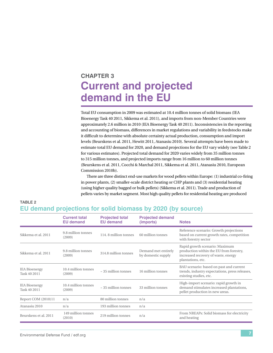# <span id="page-14-0"></span>**Chapter 3 Current and projected demand in the EU**

Total EU consumption in 2009 was estimated at 10.4 million tonnes of solid biomass (IEA Bioenergy Task 40 2011, Sikkema et al. 2011), and imports from non-Member Countries were approximately 2.6 million in 2010 (IEA Bioenergy Task 40 2011). Inconsistencies in the reporting and accounting of biomass, differences in market regulations and variability in feedstocks make it difficult to determine with absolute certainty actual production, consumption and import levels (Beurskens et al. 2011, Hewitt 2011, Atanasiu 2010). Several attempts have been made to estimate total EU demand for 2020, and demand projections for the EU vary widely (see Table 2 for various estimates). Projected total demand for 2020 varies widely from 35 million tonnes to 315 million tonnes, and projected imports range from 16 million to 60 million tonnes (Beurskens et al. 2011, Cocchi & Marchal 2011, Sikkema et al. 2011, Atanasiu 2010, European Commission 2010b).

There are three distinct end-use markets for wood pellets within Europe: (1) industrial co-firing in power plants, (2) smaller-scale district heating or CHP plants and (3) residential heating (using higher quality bagged or bulk pellets) (Sikkema et al. 2011). Trade and production of pellets varies by market segment. Most high quality pellets for residential heating are produced

# **TABLE 2 EU demand projections for solid biomass by 2020 (by source)**

|                                      | <b>Current total</b><br><b>EU demand</b> | <b>Projected total</b><br><b>EU demand</b> | <b>Projected demand</b><br>(imports)      | <b>Notes</b>                                                                                                                          |
|--------------------------------------|------------------------------------------|--------------------------------------------|-------------------------------------------|---------------------------------------------------------------------------------------------------------------------------------------|
| Sikkema et al. 2011                  | 9.8 million tonnes<br>(2009)             | 114.8 million tonnes                       | 60 million tonnes                         | Reference scenario: Growth projections<br>based on current growth rates, competition<br>with forestry sector                          |
| Sikkema et al. 2011                  | 9.8 million tonnes<br>(2009)             | 314.8 million tonnes                       | Demand met entirely<br>by domestic supply | Rapid growth scenario: Maximum<br>production within the EU from forestry,<br>increased recovery of waste, energy<br>plantations, etc. |
| <b>IEA Bioenergy</b><br>Task 40 2011 | 10.4 million tonnes<br>(2009)            | $\sim$ 35 million tonnes                   | 16 million tonnes                         | BAU scenario: based on past and current<br>trends, industry expectations, press releases,<br>existing studies, etc.                   |
| <b>IEA Bioenergy</b><br>Task 40 2011 | 10.4 million tonnes<br>(2009)            | $\sim$ 35 million tonnes                   | 33 million tonnes                         | High-import scenario: rapid growth in<br>demand stimulates increased plantations,<br>pellet production in new areas.                  |
| Report COM (2010)11                  | n/a                                      | 80 million tonnes                          | n/a                                       |                                                                                                                                       |
| Atanasiu 2010                        | n/a                                      | 193 million tonnes                         | n/a                                       |                                                                                                                                       |
| Beurskens et al. 2011                | 149 million tonnes<br>(2010)             | 219 million tonnes                         | n/a                                       | From NREAPs: Solid biomass for electricity<br>and heating                                                                             |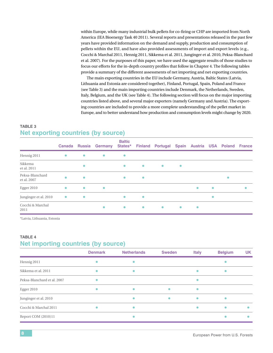within Europe, while many industrial bulk pellets for co-firing or CHP are imported from North America (IEA Bioenergy Task 40 2011). Several reports and presentations released in the past few years have provided information on the demand and supply, production and consumption of pellets within the EU, and have also provided assessments of import and export levels (e.g., Cocchi & Marchal 2011, Hennig 2011, Sikkema et al. 2011, Junginger et al. 2010, Peksa-Blanchard et al. 2007). For the purposes of this paper, we have used the aggregate results of those studies to focus our efforts for the in-depth country profiles that follow in Chapter 4. The following tables provide a summary of the different assessments of net importing and net exporting countries.

The main exporting countries in the EU include Germany, Austria, Baltic States (Latvia, Lithuania and Estonia are considered together), Finland, Portugal, Spain, Poland and France (see Table 3) and the main importing countries include Denmark, the Netherlands, Sweden, Italy, Belgium, and the UK (see Table 4). The following section will focus on the major importing countries listed above, and several major exporters (namely Germany and Austria). The exporting countries are included to provide a more complete understanding of the pellet market in Europe, and to better understand how production and consumption levels might change by 2020.

# **TABLE 3 Net exporting countries (by source)**

|                                | <b>Canada</b> | <b>Russia</b> | <b>Germany</b> | <b>Baltic</b><br>States* |           | <b>Finland Portugal</b> |           | Spain Austria USA Poland |           |           | France    |
|--------------------------------|---------------|---------------|----------------|--------------------------|-----------|-------------------------|-----------|--------------------------|-----------|-----------|-----------|
| Hennig 2011                    | $\bullet$     | $\bullet$     | $\bullet$      | $\bullet$                |           |                         |           |                          |           |           |           |
| Sikkema<br>et al. 2011         |               | $\bullet$     |                | $\bullet$                | $\bullet$ | $\bullet$               | $\bullet$ |                          |           |           |           |
| Peksa-Blanchard<br>et al. 2007 | ٠             | $\bullet$     |                | $\bullet$                | $\bullet$ |                         |           |                          |           | $\bullet$ |           |
| Egger 2010                     | $\bullet$     | $\bullet$     | $\bullet$      |                          |           |                         |           | $\bullet$                | $\bullet$ |           | $\bullet$ |
| Junginger et al. 2010          | $\bullet$     | $\bullet$     |                | $\bullet$                | $\bullet$ |                         |           |                          | $\bullet$ |           |           |
| Cocchi & Marchal<br>2011       |               |               | $\bullet$      | $\bullet$                | $\bullet$ | $\bullet$               | $\bullet$ | $\bullet$                |           |           |           |

\*Latvia, Lithuania, Estonia

# **Table 4 Net importing countries (by source)**

|                             | <b>Denmark</b> | <b>Netherlands</b> | <b>Sweden</b> | <b>Italy</b> | <b>Belgium</b> | <b>UK</b> |
|-----------------------------|----------------|--------------------|---------------|--------------|----------------|-----------|
| Hennig 2011                 |                |                    |               |              |                |           |
| Sikkema et al. 2011         |                |                    |               |              |                |           |
| Peksa-Blanchard et al. 2007 |                |                    |               |              |                |           |
| <b>Egger 2010</b>           |                |                    |               |              |                |           |
| Junginger et al. 2010       |                |                    |               |              |                |           |
| Cocchi & Marchal 2011       |                |                    |               |              |                |           |
| Report COM (2010)11         |                |                    |               |              |                |           |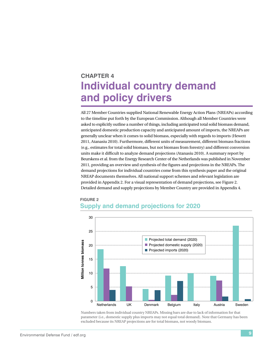# <span id="page-16-0"></span>**Chapter 4 Individual country demand and policy drivers**

All 27 Member Countries supplied National Renewable Energy Action Plans (NREAPs) according to the timeline put forth by the European Commission. Although all Member Countries were asked to explicitly outline a number of things, including anticipated total solid biomass demand, anticipated domestic production capacity and anticipated amount of imports, the NREAPs are generally unclear when it comes to solid biomass, especially with regards to imports (Hewett 2011, Atanasiu 2010). Furthermore, different units of measurement, different biomass fractions (e.g., estimates for total solid biomass, but not biomass from forestry) and different conversion units make it difficult to analyze demand projections (Atanasiu 2010). A summary report by Beurskens et al. from the Energy Research Center of the Netherlands was published in November 2011, providing an overview and synthesis of the figures and projections in the NREAPs. The demand projections for individual countries come from this synthesis paper and the original NREAP documents themselves. All national support schemes and relevant legislation are provided in Appendix 2. For a visual representation of demand projections, see Figure 2. Detailed demand and supply projections by Member Country are provided in Appendix 4.



# **Figure 2 Supply and demand projections for 2020**

Numbers taken from individual country NREAPs. Missing bars are due to lack of information for that parameter (i.e., domestic supply plus imports may not equal total demand). Note that Germany has been excluded because its NREAP projections are for total biomass, not woody biomass.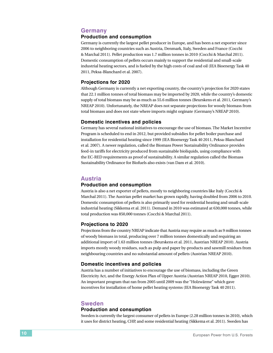# **Germany**

### **Production and consumption**

Germany is currently the largest pellet producer in Europe, and has been a net exporter since 2006 to neighboring countries such as Austria, Denmark, Italy, Sweden and France (Cocchi & Marchal 2011). Pellet production was 1.7 million tonnes in 2010 (Cocchi & Marchal 2011). Domestic consumption of pellets occurs mainly to support the residential and small-scale industrial heating sectors, and is fueled by the high costs of coal and oil (IEA Bioenergy Task 40 2011, Peksa-Blanchard et al. 2007).

#### **Projections for 2020**

Although Germany is currently a net exporting country, the country's projection for 2020 states that 22.1 million tonnes of total biomass may be imported by 2020, while the country's domestic supply of total biomass may be as much as 55.6 million tonnes (Beurskens et al. 2011, Germany's NREAP 2010). Unfortunately, the NREAP does not separate projections for woody biomass from total biomass and does not state where imports might orginate (Germany's NREAP 2010).

#### **Domestic incentives and policies**

Germany has several national initiatives to encourage the use of biomass. The Market Incentive Program is scheduled to end in 2012, but provided subsidies for pellet boiler purchase and installation for residential heating since 1999 (IEA Bioenergy Task 40 2011, Peksa-Blanchard et al. 2007). A newer regulation, called the Biomass Power Sustainability Ordinance provides feed-in tariffs for electricity produced from sustainable bioliquids, using compliance with the EC-RED requirements as proof of sustainability. A similar regulation called the Biomass Sustainability Ordinance for Biofuels also exists (van Dam et al. 2010).

### **Austria**

#### **Production and consumption**

Austria is also a net exporter of pellets, mostly to neighboring countries like Italy (Cocchi & Marchal 2011). The Austrian pellet market has grown rapidly, having doubled from 2006 to 2010. Domestic consumption of pellets is also primarily used for residential heating and small-scale industrial heating (Sikkema et al. 2011). Demand in 2010 was estimated at 630,000 tonnes, while total production was 850,000 tonnes (Cocchi & Marchal 2011).

#### **Projections to 2020**

Projections from the country NREAP indicate that Austria may require as much as 9 million tonnes of woody biomass in total, producing over 7 million tonnes domestically and requiring an additional import of 1.63 million tonnes (Beurskens et al. 2011, Austrian NREAP 2010). Austria imports mostly woody residues, such as pulp and paper by-products and sawmill residues from neighbouring countries and no substantial amount of pellets (Austrian NREAP 2010).

#### **Domestic incentives and policies**

Austria has a number of initiatives to encourage the use of biomass, including the Green Electricity Act, and the Energy Action Plan of Upper Austria (Austrian NREAP 2010, Egger 2010). An important program that ran from 2005 until 2009 was the "Holzwärme" which gave incentives for installation of home pellet heating systems (IEA Bioenergy Task 40 2011).

# **Sweden**

#### **Production and consumption**

Sweden is currently the largest consumer of pellets in Europe (2.28 million tonnes in 2010), which it uses for district heating, CHP, and some residential heating (Sikkema et al. 2011). Sweden has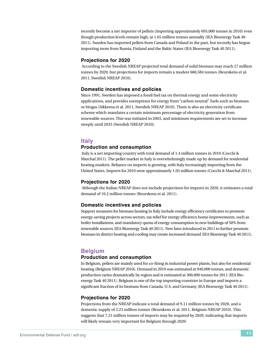recently become a net importer of pellets (importing approximately 695,000 tonnes in 2010) even though production levels remain high, at 1.65 million tonnes annually (IEA Bioenergy Task 40 2011). Sweden has imported pellets from Canada and Poland in the past, but recently has begun importing more from Russia, Finland and the Baltic States (IEA Bioenergy Task 40 2011).

### **Projections for 2020**

 According to the Swedish NREAP projected total demand of solid biomass may reach 27 million tonnes by 2020, but projections for imports remain a modest 660,584 tonnes (Beurskens et al. 2011, Swedish NREAP 2010).

## **Domestic incentives and policies**

Since 1991, Sweden has imposed a fossil fuel tax on thermal energy and some electricity applications, and provides exemptions for energy from "carbon neutral" fuels such as biomass or biogas (Sikkema et al. 2011, Swedish NREAP 2010). There is also an electricity certificate scheme which mandates a certain minimum percentage of electricity generation from renewable sources. This was initiated in 2003, and minimum requirements are set to increase steeply until 2035 (Swedish NREAP 2010).

# **Italy**

### **Production and consumption**

 Italy is a net importing country with total demand of 1.4 million tonnes in 2010 (Cocchi & Marchal 2011). The pellet market in Italy is overwhelmingly made up by demand for residential heating markets. Reliance on imports is growing, with Italy increasingly importing from the United States. Imports for 2010 were approximately 1.05 million tonnes (Cocchi & Marchal 2011).

### **Projections for 2020**

 Although the Italian NREAP does not include projections for imports in 2020, it estimates a total demand of 10.2 million tonnes (Beurskens et al. 2011).

### **Domestic incentives and policies**

Support measures for biomass heating in Italy include energy efficiency certificates to promote energy-saving projects across sectors, tax relief for energy efficiency home improvements, such as boiler installations, and mandatory quota of energy consumption in new buildings of 50% from renewable sources (IEA Bioenergy Task 40 2011). New laws introduced in 2011 to further promote biomass in district heating and cooling may create increased demand (IEA Bioenergy Task 40 2011).

# **Belgium**

### **Production and consumption**

In Belgium, pellets are mainly used for co-firing in industrial power plants, but also for residential heating (Belgium NREAP 2010). Demand in 2010 was estimated at 940,000 tonnes, and domestic production varies dramatically by region and is estimated at 300,000 tonnes for 2011 (IEA Bioenergy Task 40 2011). Belgium is one of the top importing countries in Europe and imports a significant fraction of its biomass from Canada, U.S. and Germany (IEA Bioenergy Task 40 2011).

### **Projections for 2020**

Projections from the NREAP indicate a total demand of 9.11 million tonnes by 2020, and a domestic supply of 2.23 million tonnes (Beurskens et al. 2011, Belgium NREAP 2010). This suggests that 7.21 million tonnes of imports may be required by 2020, indicating that imports will likely remain very important for Belgium through 2020.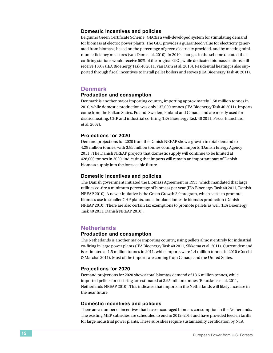#### **Domestic incentives and policies**

Belgium's Green Certificate Scheme (GEC)is a well-developed system for stimulating demand for biomass at electric power plants. The GEC provides a guaranteed value for electricity generated from biomass, based on the percentage of green electricity provided, and by meeting minimum efficiency measures (van Dam et al. 2010). In 2010, changes in the scheme dictated that co-firing stations would receive 50% of the original GEC, while dedicated biomass stations still receive 100% (IEA Bioenergy Task 40 2011, van Dam et al. 2010). Residential heating is also supported through fiscal incentives to install pellet boilers and stoves (IEA Bioenergy Task 40 2011).

# **Denmark**

### **Production and consumption**

Denmark is another major importing country, importing approximately 1.58 million tonnes in 2010, while domestic production was only 137,000 tonnes (IEA Bioenergy Task 40 2011). Imports come from the Balkan States, Poland, Sweden, Finland and Canada and are mostly used for district heating, CHP and industrial co-firing (IEA Bioenergy Task 40 2011, Peksa-Blanchard et al. 2007).

### **Projections for 2020**

Demand projections for 2020 from the Danish NREAP show a growth in total demand to 4.28 million tonnes, with 3.85 million tonnes coming from imports (Danish Energy Agency 2011). The Danish NREAP projects that domestic supply will continue to be limited at 428,000 tonnes in 2020, indicating that imports will remain an important part of Danish biomass supply into the foreseeable future.

#### **Domestic incentives and policies**

The Danish government initiated the Biomass Agreement in 1993, which mandated that large utilities co-fire a minimum percentage of biomass per year (IEA Bioenergy Task 40 2011, Danish NREAP 2010). A newer initiative is the Green Growth 2.0 program, which seeks to promote biomass use in smaller CHP plants, and stimulate domestic biomass production (Danish NREAP 2010). There are also certain tax exemptions to promote pellets as well (IEA Bioenergy Task 40 2011, Danish NREAP 2010).

# **Netherlands**

### **Production and consumption**

The Netherlands is another major importing country, using pellets almost entirely for industrial co-firing in large power plants (IEA Bioenergy Task 40 2011, Sikkema et al. 2011). Current demand is estimated at 1.5 million tonnes in 2011, while imports were 1.4 million tonnes in 2010 (Cocchi & Marchal 2011). Most of the imports are coming from Canada and the United States.

### **Projections for 2020**

Demand projections for 2020 show a total biomass demand of 18.6 million tonnes, while imported pellets for co-firing are estimated at 3.95 million tonnes (Beurskens et al. 2011, Netherlands NREAP 2010). This indicates that imports in the Netherlands will likely increase in the near future.

#### **Domestic incentives and policies**

There are a number of incentives that have encouraged biomass consumption in the Netherlands. The existing MEP subsidies are scheduled to end in 2012–2014 and have provided feed-in tariffs for large industrial power plants. These subsidies require sustainability certification by NTA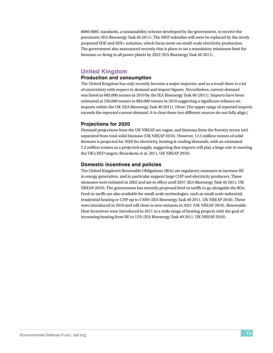8080/8081 standards, a sustainability scheme developed by the government, to receive the premiums (IEA Bioenergy Task 40 2011). The MEP subsidies will soon be replaced by the newly proposed SDE and SDE+ schemes, which focus more on small-scale electricity production. The government also announced recently that it plans to set a mandatory minimum limit for biomass co-firing in all power plants by 2022 (IEA Bioenergy Task 40 2011).

# **United Kingdom**

## **Production and consumption**

The United Kingdom has only recently become a major importer, and as a result there is a lot of uncertainty with respect to demand and import figures. Nevertheless, current demand was listed as 683,000 tonnes in 2010 by the IEA Bioenergy Task 40 (2011). Imports have been estimated at 550,000 tonnes to 884,000 tonnes in 2010 suggesting a significant reliance on imports within the UK (IEA Bioenergy Task 40 2011). [Note: The upper range of reported imports exceeds the reported current demand. It is clear these two different sources do not fully align.]

### **Projections for 2020**

Demand projections from the UK NREAP are vague, and biomass from the forestry sector isn't separated from total solid biomass (UK NREAP 2010). However, 12.5 million tonnes of solid biomass is projected for 2020 for electricity, heating & cooling demands, with an estimated 5.2 million tonnes as a projected supply, suggesting that imports will play a large role in meeting the UK's RED targets (Beurskens et al. 2011, UK NREAP 2010).

### **Domestic incentives and policies**

The United Kingdom's Renewable Obligations (ROs) are regulatory measures to increase RE in energy generation, and in particular support large CHP and electricity producers. These measures were initiated in 2002 and are in effect until 2037 (IEA Bioenergy Task 40 2011, UK NREAP 2010). The government has recently proposed feed-in tariffs to go alongside the ROs. Feed-in tariffs are also available for small-scale technologies, such as small scale industrial, residential heating or CHP up to 5 MW (IEA Bioenergy Task 40 2011, UK NREAP 2010). These were introduced in 2010 and will close to new entrants in 2021 (UK NREAP 2010). Renewable Heat Incentives were introduced in 2011 to a wide range of heating projects with the goal of increasing heating from RE to 12% (IEA Bioenergy Task 40 2011, UK NREAP 2010).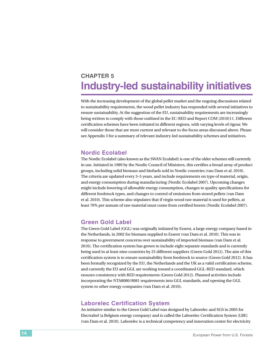# <span id="page-21-0"></span>**Chapter 5 Industry-led sustainability initiatives**

With the increasing development of the global pellet market and the ongoing discussions related to sustainability requirements, the wood pellet industry has responded with several initiatives to ensure sustainability. At the suggestion of the EU, sustainability requirements are increasingly being written to comply with those outlined in the EC-RED and Report COM (2010)11. Different certification schemes have been initiated in different regions, with varying levels of rigour. We will consider those that are most current and relevant to the focus areas discussed above. Please see Appendix 3 for a summary of relevant industry-led sustainability schemes and initiatives.

# **Nordic Ecolabel**

The Nordic Ecolabel (also known as the SWAN Ecolabel) is one of the older schemes still currently in use. Initiated in 1989 by the Nordic Council of Ministers, this certifies a broad array of product groups, including solid biomass and biofuels sold in Nordic countries (van Dam et al. 2010). The criteria are updated every 3–5 years, and include requirements on type of material, origin, and energy consumption during manufacturing (Nordic Ecolabel 2007). Upcoming changes might include lowering of allowable energy consumption, changes to quality specifications for different feedstock types, and changes to control of emissions from stored pellets (van Dam et al. 2010). This scheme also stipulates that if virgin wood raw material is used for pellets, at least 70% per annum of raw material must come from certified forests (Nordic Ecolabel 2007).

# **Green Gold Label**

The Green Gold Label (GGL) was originally initiated by Essent, a large energy company based in the Netherlands, in 2002 for biomass supplied to Essent (van Dam et al. 2010). This was in response to government concerns over sustainability of imported biomass (van Dam et al. 2010). The certification system has grown to include eight separate standards and is currently being used in at least nine countries by 25 different suppliers (Green Gold 2012). The aim of this certification system is to ensure sustainability from feedstock to source (Green Gold 2012). It has been formally recognized by the EU, the Netherlands and the UK as a valid certification scheme, and currently the EU and GGL are working toward a coordinated GGL-RED standard, which ensures consistency with RED requirements (Green Gold 2012). Planned activities include incorporating the NTA8080/8081 requirements into GGL standards, and opening the GGL system to other energy companies (van Dam et al. 2010).

# **Laborelec Certification System**

An initiative similar to the Green Gold Label was designed by Laborelec and SGS in 2005 for Electrabel (a Belgium energy company) and is called the Laborelec Certification System (LBE) (van Dam et al. 2010). Laborelec is a technical competency and innovation center for electricity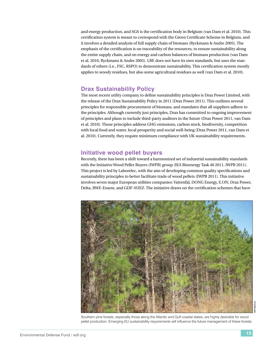and energy production, and SGS is the certification body in Belgium (van Dam et al. 2010). This certification system is meant to correspond with the Green Certificate Scheme in Belgium, and it involves a detailed analysis of full supply chain of biomass (Ryckmans & Andre 2005). The emphasis of the certification is on traceability of the resources, to ensure sustainability along the entire supply chain, and on energy and carbon balances of biomass production (van Dam et al. 2010, Ryckmans & Andre 2005). LBE does not have its own standards, but uses the standards of others (i.e., FSC, RSPO) to demonstrate sustainability. This certification system mostly applies to woody residues, but also some agricultural residues as well (van Dam et al. 2010).

# **Drax Sustainability Policy**

The most recent utility company to define sustainability principles is Drax Power Limited, with the release of the Drax Sustainability Policy in 2011 (Drax Power 2011). This outlines several principles for responsible procurement of biomass, and mandates that all suppliers adhere to the principles. Although currently just principles, Drax has committed to ongoing improvement of principles and plans to include third-party auditors in the future (Drax Power 2011, van Dam et al. 2010). Those principles address GHG emissions, carbon stock, biodiversity, competition with local food and water, local prosperity and social well-being (Drax Power 2011, van Dam et al. 2010). Currently, they require minimum compliance with UK sustainability requirements.

# **Initiative wood pellet buyers**

Recently, there has been a shift toward a harmonized set of industrial sustainability standards with the Initiative Wood Pellet Buyers (IWPB) group (IEA Bioenergy Task 40 2011, IWPB 2011). This project is led by Laborelec, with the aim of developing common quality specifications and sustainability principles to better facilitate trade of wood pellets (IWPB 2011). This initiative involves seven major European utilities companies: Vattenfal, DONG Energy, E.ON, Drax Power, Delta, RWE-Essent, and GDF-SUEZ. The initiative draws on the certification schemes that have



Southern pine forests, especially those along the Atlantic and Gulf coastal states, are highly desirable for wood pellet production. Emerging EU sustainability requirements will influence the future management of these forests.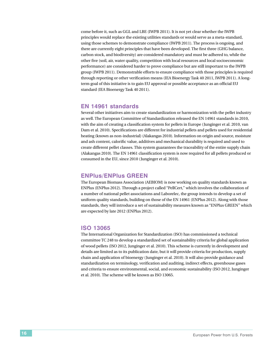come before it, such as GGL and LBE (IWPB 2011). It is not yet clear whether the IWPB principles would replace the existing utilities standards or would serve as a meta-standard, using those schemes to demonstrate compliance (IWPB 2011). The process is ongoing, and there are currently eight principles that have been developed. The first three (GHG balance, carbon stock, and biodiversity) are considered mandatory and must be adhered to, while the other five (soil, air, water quality, competition with local resources and local socioeconomic performance) are considered harder to prove compliance but are still important to the IWPB group (IWPB 2011). Demonstrable efforts to ensure compliance with those principles is required through reporting or other verification means (IEA Bioenergy Task 40 2011, IWPB 2011). A longterm goal of this initiative is to gain EU approval or possible acceptance as an official EU standard (IEA Bioenergy Task 40 2011).

# **EN 14961 standards**

Several other initiatives aim to create standardization or harmonization with the pellet industry as well. The European Committee of Standardization released the EN 14961 standards in 2010, with the aim of creating a classification system for pellets in Europe (Junginger et al. 2010, van Dam et al. 2010). Specifications are different for industrial pellets and pellets used for residential heating (known as non-industrial) (Alakangas 2010). Information on origin and source, moisture and ash content, calorific value, additives and mechanical durability is required and used to create different pellet classes. This system guarantees the traceability of the entire supply chain (Alakangas 2010). The EN 14961 classification system is now required for all pellets produced or consumed in the EU, since 2010 (Junginger et al. 2010).

# **ENPlus/ENPlus GREEN**

The European Biomass Association (AEBIOM) is now working on quality standards known as ENPlus (ENPlus 2012). Through a project called "PellCert," which involves the collaboration of a number of national pellet associations and Laborelec, the group intends to develop a set of uniform quality standards, building on those of the EN 14961 (ENPlus 2012). Along with those standards, they will introduce a set of sustainability measures known as "ENPlus GREEN" which are expected by late 2012 (ENPlus 2012).

# **ISO 13065**

The International Organization for Standardization (ISO) has commissioned a technical committee TC 248 to develop a standardized set of sustainability criteria for global application of wood pellets (ISO 2012, Junginger et al. 2010). This scheme is currently in development and details are limited as to its publication date, but it will provide criteria for production, supply chain and application of bioenergy (Junginger et al. 2010). It will also provide guidance and standardization on terminology, verification and auditing, indirect effects, greenhouse gases and criteria to ensure environmental, social, and economic sustainability (ISO 2012, Junginger et al. 2010). The scheme will be known as ISO 13065.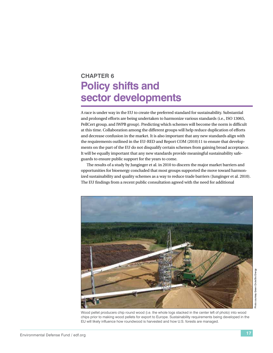# <span id="page-24-0"></span>**Chapter 6 Policy shifts and sector developments**

A race is under way in the EU to create the preferred standard for sustainability. Substantial and prolonged efforts are being undertaken to harmonize various standards (i.e., ISO 13065, PellCert group, and IWPB group). Predicting which schemes will become the norm is difficult at this time. Collaboration among the different groups will help reduce duplication of efforts and decrease confusion in the market. It is also important that any new standards align with the requirements outlined in the EU-RED and Report COM (2010)11 to ensure that developments on the part of the EU do not disqualify certain schemes from gaining broad acceptance. It will be equally important that any new standards provide meaningful sustainability safeguards to ensure public support for the years to come.

The results of a study by Junginger et al. in 2010 to discern the major market barriers and opportunities for bioenergy concluded that most groups supported the move toward harmonized sustainability and quality schemes as a way to reduce trade barriers (Junginger et al. 2010). The EU findings from a recent public consultation agreed with the need for additional



Wood pellet producers chip round wood (i.e. the whole logs stacked in the center left of photo) into wood chips prior to making wood pellets for export to Europe. Sustainability requirements being developed in the EU will likely influence how roundwood is harvested and how U.S. forests are managed.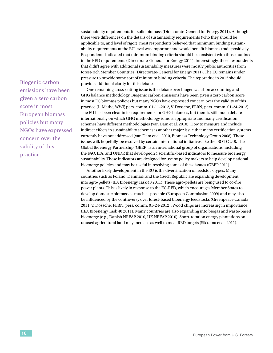sustainability requirements for solid biomass (Directorate-General for Energy 2011). Although there were differences on the details of sustainability requirements (who they should be applicable to, and level of rigor), most respondents believed that minimum binding sustainability requirements at the EU level was important and would benefit biomass trade positively. Respondents indicated that minimum binding criteria should be consistent with those outlined in the RED requirements (Directorate-General for Energy 2011). Interestingly, those respondents that didn't agree with additional sustainability measures were mostly public authorities from forest-rich Member Countries (Directorate-General for Energy 2011). The EC remains under pressure to provide some sort of minimum binding criteria. The report due in 2012 should provide additional clarity for this debate.

One remaining cross-cutting issue is the debate over biogenic carbon accounting and GHG balance methodology. Biogenic carbon emissions have been given a zero carbon score in most EC biomass policies but many NGOs have expressed concern over the validity of this practice (L. Mathe, WWF, pers. comm. 01-11-2012, V. Dossche, FERN, pers. comm. 01-24-2012). The EU has been clear in its requirements for GHG balances, but there is still much debate internationally on which GHG methodology is most appropriate and many certification schemes have different methodologies (van Dam et al. 2010). How to measure and include indirect effects in sustainability schemes is another major issue that many certification systems currently have not addressed (van Dam et al. 2010, Biomass Technology Group 2008). These issues will, hopefully, be resolved by certain international initiatives like the ISO TC 248. The Global Bioenergy Partnership (GBEP) is an international group of organizations, including the FAO, IEA, and UNDP, that developed 24 scientific-based indicators to measure bioenergy sustainability. These indicators are designed for use by policy makers to help develop national bioenergy policies and may be useful in resolving some of these issues (GBEP 2011).

Another likely development in the EU is the diversification of feedstock types. Many countries such as Poland, Denmark and the Czech Republic are expanding development into agro-pellets (IEA Bioenergy Task 40 2011). These agro-pellets are being used to co-fire power plants. This is likely in response to the EC-RED, which encourages Member States to develop domestic biomass as much as possible (European Commission 2009) and may also be influenced by the controversy over forest-based bioenergy feedstocks (Greenpeace Canada 2011, V. Dossche, FERN, pers. comm. 01-24-2012). Wood chips are increasing in importance (IEA Bioenergy Task 40 2011). Many countries are also expanding into biogas and waste-based bioenergy (e.g., Danish NREAP 2010, UK NREAP 2010). Short-rotation energy plantations on unused agricultural land may increase as well to meet RED targets (Sikkema et al. 2011).

Biogenic carbon emissions have been given a zero carbon score in most European biomass policies but many NGOs have expressed concern over the validity of this practice.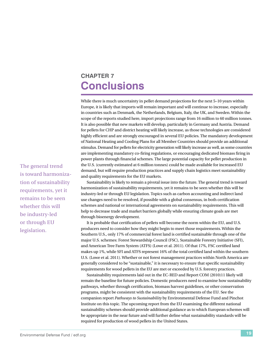# <span id="page-26-0"></span>**Chapter 7 Conclusions**

While there is much uncertainty in pellet demand projections for the next 5–10 years within Europe, it is likely that imports will remain important and will continue to increase, especially in countries such as Denmark, the Netherlands, Belgium, Italy, the UK, and Sweden. Within the scope of the reports studied here, import projections range from 16 million to 60 million tonnes. It is also possible that new markets will develop, particularly in Germany and Austria. Demand for pellets for CHP and district heating will likely increase, as those technologies are considered highly efficient and are strongly encouraged in several EU policies. The mandatory development of National Heating and Cooling Plans for all Member Countries should provide an additional stimulus. Demand for pellets for electricity generation will likely increase as well, as some countries are implementing mandatory co-firing regulations, or encouraging dedicated biomass firing in power plants through financial schemes. The large potential capacity for pellet production in the U.S. (currently estimated at 6 million tonnes) could be made available for increased EU demand, but will require production practices and supply chain logistics meet sustainability and quality requirements for the EU markets.

Sustainability is likely to remain a pivotal issue into the future. The general trend is toward harmonization of sustainability requirements, yet it remains to be seen whether this will be industry-led or through EU legislation. Topics such as carbon accounting and indirect land use changes need to be resolved, if possible with a global consensus, in both certification schemes and national or international agreements on sustainability requirements. This will help to decrease trade and market barriers globally while ensuring climate goals are met through bioenergy development.

It is probable that certification of pellets will become the norm within the EU, and U.S. producers need to consider how they might begin to meet those requirements. Within the Southern U.S., only 17% of commercial forest land is certified sustainable through one of the major U.S. schemes: Forest Stewardship Council (FSC), Sustainable Forestry Initiative (SFI), and American Tree Farm System (ATFS) (Lowe et al. 2011). Of that 17%, FSC certified land makes up 1%, while SFI and ATFS represent 16% of the total certified land within the southern U.S. (Lowe et al. 2011). Whether or not forest management practices within North America are generally considered to be "sustainable," it is necessary to ensure that specific sustainability requirements for wood pellets in the EU are met or exceeded by U.S. forestry practices.

Sustainability requirements laid out in the EC-RED and Report COM (2010)11 likely will remain the baseline for future policies. Domestic producers need to examine how sustainability pathways, whether through certification, biomass harvest guidelines, or other conservation programs, might be consistent with the sustainability requirements of the EU. See the companion report *Pathways to Sustainability* by Environmental Defense Fund and Pinchot Institute on this topic. The upcoming report from the EU examining the different national sustainability schemes should provide additional guidance as to which European schemes will be appropriate in the near future and will further define what sustainability standards will be required for production of wood pellets in the United States.

The general trend is toward harmonization of sustainability requirements, yet it remains to be seen whether this will be industry-led or through EU legislation.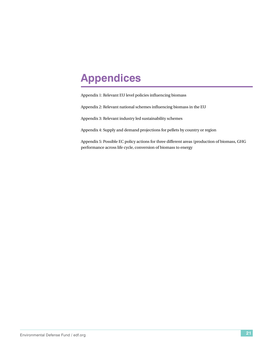# <span id="page-28-0"></span>**Appendices**

Appendix 1: Relevant EU level policies influencing biomass

Appendix 2: Relevant national schemes influencing biomass in the EU

Appendix 3: Relevant industry led sustainability schemes

Appendix 4: Supply and demand projections for pellets by country or region

Appendix 5: Possible EC policy actions for three different areas (production of biomass, GHG performance across life cycle, conversion of biomass to energy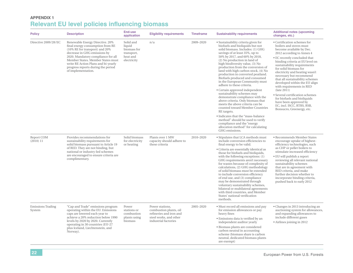# **Appendix 1Relevant EU level policies influencing biomass**

| <b>Policy</b>                      | <b>Description</b>                                                                                                                                                                                                                                                                                                  | <b>End-use</b><br>application                                               | <b>Eligibility requirements</b>                                                                                        | <b>Timeframe</b> | <b>Sustainability requirements</b>                                                                                                                                                                                                                                                                                                                                                                                                                                                                                                                                                                                                                                                                                                                                                                      | <b>Additional notes (upcoming</b><br>changes, etc.)                                                                                                                                                                                                                                                                                                                                                                                                                                                                                                                          |
|------------------------------------|---------------------------------------------------------------------------------------------------------------------------------------------------------------------------------------------------------------------------------------------------------------------------------------------------------------------|-----------------------------------------------------------------------------|------------------------------------------------------------------------------------------------------------------------|------------------|---------------------------------------------------------------------------------------------------------------------------------------------------------------------------------------------------------------------------------------------------------------------------------------------------------------------------------------------------------------------------------------------------------------------------------------------------------------------------------------------------------------------------------------------------------------------------------------------------------------------------------------------------------------------------------------------------------------------------------------------------------------------------------------------------------|------------------------------------------------------------------------------------------------------------------------------------------------------------------------------------------------------------------------------------------------------------------------------------------------------------------------------------------------------------------------------------------------------------------------------------------------------------------------------------------------------------------------------------------------------------------------------|
| Directive 2009/28/EC               | Renewable Energy Directive. 20%<br>final energy consumption from RE<br>(10% RE for transport) and 20%<br>decrease in GHG emissions by<br>2020. Mandatory compliance for all<br>Member States. Member States must<br>write RE Action Plans and bi-yearly<br>progress reports during the period<br>of implementation. | Solid and<br>liquid<br>biomass for<br>transport,<br>heat and<br>electricity | n/a                                                                                                                    | 2009-2020        | • Sustainability criteria given for<br>biofuels and bioliquids but not<br>solid biomass. Includes: (1) GHG<br>savings of at least 35%, up to<br>50% by 2017, and 60% by 2018,<br>(2) No production in land of<br>high biodiversity value, (3) No<br>production from the conversion of<br>land with high carbon stock, (4) No<br>production in converted peatland.<br>Biofuels produced and consumed<br>in the European Community must<br>adhere to these criteria.<br>• Certain approved independent<br>sustainability schemes may<br>demonstrate compliance with the<br>above criteria. Only biomass that<br>meets the above criteria can be<br>counted toward Member Countries<br>RE targets.<br>· Indicates that the "mass-balance<br>method" should be used to verify<br>compliance and the "energy | • Certification schemes for<br>boilers and stoves must<br>become available by Dec.<br>2012 according to Annex 4<br>• EC recently concluded that<br>binding criteria at EU level on<br>sustainability requirements<br>for solid biomass for<br>electricity and heating wasn't<br>necessary but recommend<br>that all sustainability schemes<br>developed within the EU align<br>with requirements in RED<br>(late 2011)<br>• Several certification schemes<br>for biofuels and bioliquids<br>have been approved by<br>EC, incl. ISCC, RTRS, RSB,<br>Bonsucro, Greenergy, etc. |
|                                    |                                                                                                                                                                                                                                                                                                                     |                                                                             |                                                                                                                        |                  | allocation method" for calculating<br>GHG emissions.                                                                                                                                                                                                                                                                                                                                                                                                                                                                                                                                                                                                                                                                                                                                                    |                                                                                                                                                                                                                                                                                                                                                                                                                                                                                                                                                                              |
| Report COM<br>(2010) 11            | Provides recommendations for<br>sustainability requirements for<br>solid biomass pursuant to Article 19<br>of RED. They are not binding, but<br>national or industry-led schemes<br>are encouraged to ensure criteria are<br>complimentary.                                                                         | Solid biomass<br>for electricity<br>or heating                              | Plants over 1 MW<br>capacity should adhere to<br>these criteria                                                        | 2010-2020        | • Stipulates that LCA methods must<br>include conversion efficiencies to<br>final energy to be valid.<br>· Criteria are essentially identical as<br>those for biofuels and bioliquids,<br>with the following exceptions: (1)<br>GHG requirements aren't necessary<br>for wastes because of complexity of<br>calculations, (2) GHG methodology<br>of solid biomass must be extended<br>to include conversion efficiency<br>of end use, and (3) compliance<br>may be demonstrated through<br>voluntary sustainability schemes,<br>bilateral or multilateral agreements<br>with third countries, and Member<br>States' national verification<br>methods.                                                                                                                                                   | • Recommends Member States<br>encourage uptake of highest-<br>efficiency technologies, such<br>as CHP or pellet boilers to<br>stimulate increased efficiency<br>· EU will publish a report<br>reviewing all relevant national<br>sustainability schemes<br>that are in agreement with<br>RED criteria, and make<br>further decision whether to<br>incorporate binding criteria,<br>pushed back to early 2012                                                                                                                                                                 |
| <b>Emissions Trading</b><br>System | "Cap and Trade" emissions program<br>operating within the EU. Emissions<br>caps are lowered each year to<br>achieve a 20% reduction below 1990<br>levels by 2020 by 2020. Currently<br>operating in 30 countries (EU-27<br>plus Iceland, Liechtenstein, and<br>Norway).                                             | Power<br>stations or<br>combustion<br>plants using<br>biomass               | Power stations,<br>combustion plants, oil<br>refineries and iron and<br>steel works, and other<br>industrial factories | 2005-2020        | • Must record all emissions and pay<br>for emission allowances or pay<br>heavy fines<br>· Emissions data is verified by an<br>independent auditor yearly<br>· Biomass plants are considered<br>carbon neutral in accounting<br>scheme (biomass share is carbon<br>neutral, dedicated biomass plants<br>are exempt)                                                                                                                                                                                                                                                                                                                                                                                                                                                                                      | • Changes in 2013 introducing an<br>auctioning system for allowances,<br>and expanding allowances to<br>include different gases<br>• Airlines joining in 2012                                                                                                                                                                                                                                                                                                                                                                                                                |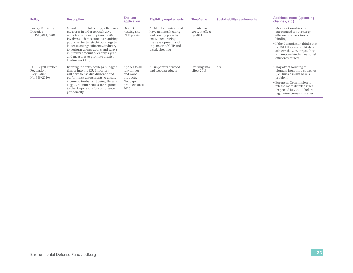| <b>Policy</b>                                                      | <b>Description</b>                                                                                                                                                                                                                                                                                                                                                       | End-use<br>application                                                                        | <b>Eligibility requirements</b>                                                                                                                                 | <b>Timeframe</b>                           | <b>Sustainability requirements</b> | <b>Additional notes (upcoming</b><br>changes, etc.)                                                                                                                                                                                                   |
|--------------------------------------------------------------------|--------------------------------------------------------------------------------------------------------------------------------------------------------------------------------------------------------------------------------------------------------------------------------------------------------------------------------------------------------------------------|-----------------------------------------------------------------------------------------------|-----------------------------------------------------------------------------------------------------------------------------------------------------------------|--------------------------------------------|------------------------------------|-------------------------------------------------------------------------------------------------------------------------------------------------------------------------------------------------------------------------------------------------------|
| <b>Energy Efficiency</b><br>Directive<br>(COM (2011) 370)          | Meant to stimulate energy efficiency<br>measures in order to reach 20%<br>reduction in consumption by 2020.<br>Involves such measures as requiring<br>public sector to retrofit buildings to<br>increase energy efficiency, industry<br>to perform energy audits and save a<br>minimum amount of energy a year,<br>and measures to promote district<br>heating (or CHP). | District<br>heating and<br>CHP plants                                                         | All Member States must<br>have national heating<br>and cooling plans by<br>2014, encouraging<br>the development and<br>expansion of CHP and<br>district heating | Initiated in<br>2011, in effect<br>by 2014 |                                    | • Member Countries are<br>encouraged to set energy<br>efficiency targets (non-<br>binding)<br>• If the Commission thinks that<br>by 2014 they are not likely to<br>achieve the 20% target, they<br>will impose binding national<br>efficiency targets |
| EU (Illegal) Timber<br>Regulation<br>(Regulation)<br>No. 995/2010) | Banning the entry of illegally logged<br>timber into the EU. Importers<br>will have to use due diligence and<br>perform risk assessments to ensure<br>incoming timber isn't being illegally<br>logged. Member States are required<br>to check operators for compliance<br>periodically.                                                                                  | Applies to all<br>raw timber<br>and wood<br>products.<br>Not paper<br>products until<br>2018. | All importers of wood<br>and wood products                                                                                                                      | Entering into<br>effect 2013               | n/a                                | • May affect sourcing of<br>biomass from third countries<br>(i.e., Russia might have a<br>problem)<br>• European Commission to<br>release more detailed rules<br>(expected July 2012) before<br>regulation comes into effect                          |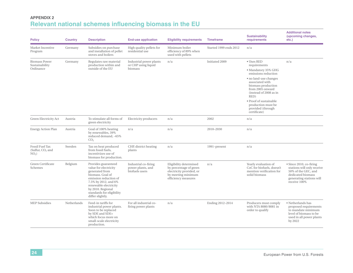# **Appendix 2Relevant national schemes influencing biomass in the EU**

| <b>Policy</b>                                                     | <b>Country</b> | <b>Description</b>                                                                                                                                                                                                                 | <b>End-use application</b>                                  | <b>Eligibility requirements</b>                                                                                           | <b>Timeframe</b>       | <b>Sustainability</b><br>requirements                                                                                                                                                                                                                                                         | <b>Additional notes</b><br>(upcoming changes,<br>etc.)                                                                                        |
|-------------------------------------------------------------------|----------------|------------------------------------------------------------------------------------------------------------------------------------------------------------------------------------------------------------------------------------|-------------------------------------------------------------|---------------------------------------------------------------------------------------------------------------------------|------------------------|-----------------------------------------------------------------------------------------------------------------------------------------------------------------------------------------------------------------------------------------------------------------------------------------------|-----------------------------------------------------------------------------------------------------------------------------------------------|
| Market Incentive<br>Program                                       | Germany        | Subsidies on purchase<br>and installation of pellet<br>stoves and boilers                                                                                                                                                          | High quality pellets for<br>residential use                 | Minimum boiler<br>efficiency of 89% when<br>used with pellets                                                             | Started 1999 ends 2012 | n/a                                                                                                                                                                                                                                                                                           |                                                                                                                                               |
| <b>Biomass Power</b><br>Sustainability<br>Ordinance               | Germany        | Regulates raw material<br>production within and<br>outside of the EU                                                                                                                                                               | Industrial power plants<br>or CHP using liquid<br>biomass   | n/a                                                                                                                       | Initiated 2009         | $\bullet$ Uses RED<br>requirements<br>· Mandatory 35% GHG<br>emissions reduction<br>· no land-use changes<br>associated with<br>biomass production<br>from 2005 onward<br>(instead of 2008 as in<br>RED)<br>• Proof of sustainable<br>production must be<br>provided (through<br>certificate) | n/a                                                                                                                                           |
| Green Electricity Act                                             | Austria        | To stimulate all forms of<br>green electricity                                                                                                                                                                                     | Electricity producers                                       | n/a                                                                                                                       | 2002                   | n/a                                                                                                                                                                                                                                                                                           |                                                                                                                                               |
| <b>Energy Action Plan</b>                                         | Austria        | Goal of 100% heating<br>by renewables, 39%<br>reduced demand, -65%<br>CO <sub>2</sub>                                                                                                                                              | n/a                                                         | n/a                                                                                                                       | 2010-2030              | n/a                                                                                                                                                                                                                                                                                           |                                                                                                                                               |
| <b>Fossil Fuel Tax</b><br>(Sulfur, CO <sub>2</sub> and<br>$NO2$ ) | Sweden         | Tax on heat produced<br>from fossil fuels.<br>incentivizes use of<br>biomass for production.                                                                                                                                       | CHP, district heating<br>plants                             | n/a                                                                                                                       | 1991–present           | n/a                                                                                                                                                                                                                                                                                           |                                                                                                                                               |
| Green Certificate<br>Schemes                                      | Belgium        | Provides guaranteed<br>value for electricity<br>generated from<br>biomass. Goal of<br>emission reduction of<br>7.5% by 2012, and 6%<br>renewable electricity<br>by 2010. Regional<br>standards for eligibility<br>differ slightly. | Industrial co-firing<br>power plants, and<br>biofuels users | Eligibility determined<br>by percentage of green<br>electricity provided, or<br>by meeting minimum<br>efficiency measures | n/a                    | Yearly evaluation of<br>CoC for biofuels, doesn't<br>mention verification for<br>solid biomass                                                                                                                                                                                                | • Since 2010, co-firing<br>stations will only receive<br>50% of the GEC, and<br>dedicated biomass<br>generating stations will<br>receive 100% |
| <b>MEP</b> Subsidies                                              | Netherlands    | Feed-in tariffs for<br>industrial power plants.<br>Soon to be replaced<br>by SDE and SDE+<br>which focus more on<br>small-scale electricity<br>production.                                                                         | For all industrial co-<br>firing power plants               | n/a                                                                                                                       | Ending 2012-2014       | Producers must comply<br>with NTA 8080/8081 in<br>order to qualify                                                                                                                                                                                                                            | • Netherlands has<br>proposed requirements<br>to mandate minimum<br>level of biomass to be<br>used in all power plants<br>by 2022             |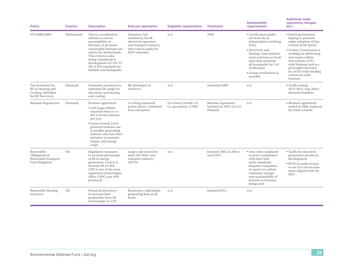| <b>Policy</b>                                                                       | <b>Country</b> | <b>Description</b>                                                                                                                                                                                                                                                           | <b>End-use application</b>                                                                                                       | <b>Eligibility requirements</b>                 | <b>Timeframe</b>                                                 | <b>Sustainability</b><br>requirements                                                                                                                                                                                                                       | <b>Additional notes</b><br>(upcoming changes,<br>etc.)                                                                                                                                                                                                                                                 |
|-------------------------------------------------------------------------------------|----------------|------------------------------------------------------------------------------------------------------------------------------------------------------------------------------------------------------------------------------------------------------------------------------|----------------------------------------------------------------------------------------------------------------------------------|-------------------------------------------------|------------------------------------------------------------------|-------------------------------------------------------------------------------------------------------------------------------------------------------------------------------------------------------------------------------------------------------------|--------------------------------------------------------------------------------------------------------------------------------------------------------------------------------------------------------------------------------------------------------------------------------------------------------|
| NTA 8080/8081                                                                       | Netherlands    | This is a certification<br>scheme to ensure<br>sustainability of<br>biomass, to promote<br>sustainable biomass use<br>within the Netherlands.<br>This criteria is also<br>being considered in<br>development of CENTC<br>383 (CEN standards for<br>biofuels and bioliquids). | Voluntary, but<br>mandatory for all<br>electricity operators<br>and transport industry<br>who wish to apply for<br>MEP subsidies | n/a                                             | 2009                                                             | • Certification audits<br>are done by an<br>independent certifying<br>body<br>• Electricity and<br>heating: mass balance,<br>track and trace or book<br>and claim methods<br>all acceptable for CoC<br>verification<br>• Group certification is<br>possible | • Dutch government<br>hoping to promote<br>wider adoption of this<br>criteria in the future<br>• Corbey Commission is<br>working on addressing<br>new topics within<br>this scheme: iLUC,<br>solid biomass and is a<br>principlal advocator<br>for an EU wide binding<br>criteria for solid<br>biomass |
| Tax Incentives for<br>RE in Heating and<br>Cooling, Subsidies<br>for RE Electricity | Denmark        | Economic incentives to<br>stimulate RE usage for<br>electricity and heating<br>and cooling                                                                                                                                                                                   | RE developers &<br>investors                                                                                                     | n/a                                             | Amended 2009                                                     | n/a                                                                                                                                                                                                                                                         | • Tariffs ending<br>2012-2015, may affect<br>demand of pellets                                                                                                                                                                                                                                         |
| <b>Biomass Regulations</b>                                                          | Denmark        | <b>Biomass Agreement</b><br>• with large utilities<br>required them to co-<br>fire a certain amount<br>per year<br>• Green Growth 2.0 to<br>promote biomass use<br>in smaller generating<br>stations, also has other<br>initiative to promote<br>biogas, and energy<br>crops | Co-firing industrial<br>power plants, combined<br>heat and power                                                                 | For Green Growth 2.0:<br>Co-gen plants $<$ 2 MW | <b>Biomass Agreement</b><br>initiated in 1993, GG 2.0<br>Planned | n/a                                                                                                                                                                                                                                                         | • Biomass Agreement<br>ended in 2008, replaced<br>by Green Growth                                                                                                                                                                                                                                      |
| Renewable<br>Obligations &<br>Renewable Transport<br><b>Fuel Obligation</b>         | UK             | Regulatory measures<br>to increase percentage<br>of RE in energy<br>generation. Goal is to<br>increase RE to 30%.<br>CHP is one of the most<br>supported technologies,<br>offers 2 ROCs per MW<br>produced.                                                                  | Large scale electricity<br>and CHP (ROs) and<br>transport industry<br>(RTFO)                                                     | n/a                                             | Initiated 2002, in effect<br>until 2037                          | • Uses other standards<br>to prove compliance<br>with their own<br>meta-standards.<br>Requires companies<br>to report on carbon<br>emissions savings<br>and sustainability of<br>biofuels or biomass<br>being used.                                         | • Tariffs for electricity<br>generation are also in<br>development<br>• RFTO is under review.<br>to see if it can become<br>more aligned with the<br><b>RED</b>                                                                                                                                        |
| Renewable Heating<br>Incentive                                                      | UK             | Financial incentives<br>to increase heat<br>production from RE<br>technologies to 12%                                                                                                                                                                                        | Businesses, individuals<br>generating heat at all<br>levels                                                                      | n/a                                             | Initiated 2011                                                   | n/a                                                                                                                                                                                                                                                         |                                                                                                                                                                                                                                                                                                        |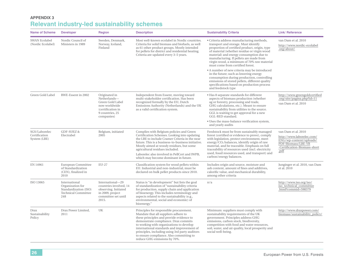# **Appendix 3Relevant industry-led sustainability schemes**

| <b>Name of Scheme</b>                          | <b>Developer</b>                                                                                | <b>Region</b>                                                                                                            | <b>Description</b>                                                                                                                                                                                                                                                                                                                                                                          | <b>Sustainability Criteria</b>                                                                                                                                                                                                                                                                                                                            | Link/Reference                                                                                                                                                                                                                                                                                               |                                                                                                                                   |
|------------------------------------------------|-------------------------------------------------------------------------------------------------|--------------------------------------------------------------------------------------------------------------------------|---------------------------------------------------------------------------------------------------------------------------------------------------------------------------------------------------------------------------------------------------------------------------------------------------------------------------------------------------------------------------------------------|-----------------------------------------------------------------------------------------------------------------------------------------------------------------------------------------------------------------------------------------------------------------------------------------------------------------------------------------------------------|--------------------------------------------------------------------------------------------------------------------------------------------------------------------------------------------------------------------------------------------------------------------------------------------------------------|-----------------------------------------------------------------------------------------------------------------------------------|
| <b>SWAN Ecolabel</b><br>(Nordic Ecolabel)      | Nordic Council of<br>Ministers in 1989                                                          | Sweden, Denmark,<br>Norway, Iceland,<br>Finland                                                                          | Most well-known ecolabel in Nordic countries.<br>Criteria for solid biomass and biofuels, as well<br>as 61 other product groups. Mostly intended<br>for pellets for district and residential heating.<br>Criteria are updated every 3-5 years.                                                                                                                                              | • Criteria address manufacturing methods,<br>transport and storage. Must identify<br>proportion of certified product, origin, type<br>of material (whether residue or virgin wood<br>material) and energy consumption due to<br>manufacturing. If pellets are made from<br>virgin wood, a minimum of 70% raw material<br>must come from certified forest. | van Dam et al. 2010<br>http://www.nordic-ecolabel<br>.org/about/                                                                                                                                                                                                                                             |                                                                                                                                   |
|                                                |                                                                                                 |                                                                                                                          |                                                                                                                                                                                                                                                                                                                                                                                             | • A number of new criteria may be introduced<br>in the future; such as lowering energy<br>consumption during production, controlling<br>emissions of stored pellets, different quality<br>specifications based on production process<br>and feedstock type                                                                                                |                                                                                                                                                                                                                                                                                                              |                                                                                                                                   |
| Green Gold Label                               | RWE-Essent in 2002                                                                              | Originated in<br>Netherlands-<br>Green Gold Label<br>now worldwide<br>(certification in<br>9 countries, 25<br>companies) | Independent from Essent, moving toward<br>multi-stakeholder certification. Has been<br>recognized formally by the EU, Dutch<br>Emissions Authority (Netherlands) and the UK<br>as a valid certification system.                                                                                                                                                                             | • Has 8 separate standards for different<br>aspects of biomass production (whether<br>ag or forestry, processing and trade,<br>GHG calculations, etc.). Meant to ensure<br>sustainability from utilities to the source.<br>GGL is waiting to get approval for a new<br>GGL-RED standard.<br>· Uses the mass-balance verification system,                  | http://www.greengoldcertified<br>.org/site/pagina.php?id=11<br>van Dam et al. 2010                                                                                                                                                                                                                           |                                                                                                                                   |
|                                                |                                                                                                 |                                                                                                                          |                                                                                                                                                                                                                                                                                                                                                                                             | and yearly audits                                                                                                                                                                                                                                                                                                                                         |                                                                                                                                                                                                                                                                                                              |                                                                                                                                   |
| SGS/Laborelec<br>Certification<br>System (LBE) | <b>GDF-SUEZ&amp;</b><br>Electrabel                                                              | 2005                                                                                                                     | Belgium, initiated                                                                                                                                                                                                                                                                                                                                                                          | Complies with Belgium policies and Green<br>Certification Schemes. Looking into updating<br>the LBE to include Cramer Criteria in the near<br>future. This is a business-to-business initiative.<br>Mostly aimed at woody residues, but some<br>agricultural residues included.                                                                           | Feedstock must be from sustainably managed<br>forest (certified or evidence to prove), comply<br>with legislation, protect environment, meet<br>energy/CO <sub>2</sub> balances, identify origin of raw<br>material, and be traceable. Emphasis on full<br>traceability of resources used (incl. electricity | van Dam et al. 2010<br>http://www.laborelec.com/<br>ENG/wp-content/uploads/<br>PDF/Biomass/LBE-YR<br>-Certification-Biomass-short |
|                                                |                                                                                                 |                                                                                                                          | Laborelec also involved in PellCert and IWPB,<br>which may become dominant in future.                                                                                                                                                                                                                                                                                                       | used, fossil resources used, and transport) and<br>carbon/energy balances.                                                                                                                                                                                                                                                                                | .pdf                                                                                                                                                                                                                                                                                                         |                                                                                                                                   |
| EN 14961                                       | European Committee<br>of Standardization<br>(CEN), finalized in<br>2010                         | <b>EU-27</b>                                                                                                             | Classification system for wood pellets within<br>EU. Industrial and non-industrial, must be<br>declared on bulk pellet products since 2010.                                                                                                                                                                                                                                                 | Includes origin and source, moisture and<br>ash content, amount of fines and additives,<br>calorific value, and mechanical durability,<br>among other criteria                                                                                                                                                                                            | Junginger et al. 2010, van Dam<br>et al. 2010                                                                                                                                                                                                                                                                |                                                                                                                                   |
| ISO 13065                                      | International<br>Organization for<br>Standardization (ISO)<br><b>Technical Committee</b><br>248 | International-29<br>countries involved, 14<br>observing. Initiated<br>in 2009, project<br>committee set until<br>2015.   | Status is "in development" but lists the goal<br>of standardization of "sustainability criteria<br>for production, supply chain and application<br>of bioenergy. This includes terminology and<br>aspects related to the sustainability (e.g.,<br>environmental, social and economic) of<br>bioenergy."                                                                                     | n/a                                                                                                                                                                                                                                                                                                                                                       | http://www.iso.org/iso/<br>iso_technical_committee<br>.html?commid=598379                                                                                                                                                                                                                                    |                                                                                                                                   |
| Drax<br>Sustainability<br>Policy               | Drax Power Limited,<br>2011                                                                     | UK                                                                                                                       | Principles for responsible procurement.<br>Mandate that all suppliers adhere to<br>these principles and provide evidence to<br>demonstrate compliance. Drax commits<br>to working with organizations to develop<br>international standards and improvement of<br>principles, including using 3rd party auditors<br>to ensure compliance. Also committing to<br>reduce GHG emissions by 70%. | Minimum: suppliers must comply with<br>sustainability requirements of the UK<br>government. Principles address GHG<br>emissions, carbon stock, biodiversity,<br>competition with food and water resources,<br>soil, water, and air quality, local prosperity and<br>social well-being.                                                                    | http://www.draxpower.com/<br>biomass/sustainability policy/                                                                                                                                                                                                                                                  |                                                                                                                                   |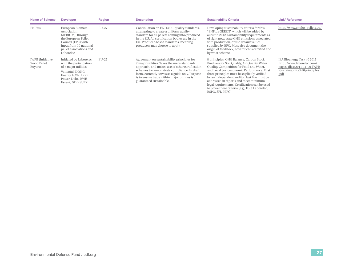| <b>Name of Scheme</b>                             | <b>Developer</b>                                                                                                                                                    | <b>Region</b> | <b>Description</b>                                                                                                                                                                                                                                                                                                       | <b>Sustainability Criteria</b>                                                                                                                                                                                                                                                                                                                                                                                                                       | <b>Link/Reference</b>                                                                                                           |
|---------------------------------------------------|---------------------------------------------------------------------------------------------------------------------------------------------------------------------|---------------|--------------------------------------------------------------------------------------------------------------------------------------------------------------------------------------------------------------------------------------------------------------------------------------------------------------------------|------------------------------------------------------------------------------------------------------------------------------------------------------------------------------------------------------------------------------------------------------------------------------------------------------------------------------------------------------------------------------------------------------------------------------------------------------|---------------------------------------------------------------------------------------------------------------------------------|
| <b>ENPlus</b>                                     | European Biomass<br>Association<br>(AEBIOM), through<br>the European Pellet<br>Council (EPC) with<br>input from 10 national<br>pellet associations and<br>Laborelec | EU-27         | Continuation on EN-14961 quality standards,<br>attempting to create a uniform quality<br>standard for all pellets coming into/produced<br>in the EU. All certification bodies are in the<br>EU. Producer-based standards, meaning<br>producers may choose to apply.                                                      | Developing sustainability criteria for this<br>"ENPlus GREEN" which will be added by<br>autumn 2012. Sustainability requirements as<br>of right now: state GHG emissions associated<br>with production, or use default values<br>supplied by EPC. Must also document the<br>origin of feedstock, how much is certified and<br>by what scheme.                                                                                                        | http://www.enplus-pellets.eu/                                                                                                   |
| <b>IWPB</b> (Initiative<br>Wood Pellet<br>Buyers) | Initiated by Laborelec,<br>with the participation<br>of 7 major utilities:<br>Vattenfal, DONG<br>Energy, E.ON, Drax<br>Power, Delta, RWE-<br>Essent, GDF-SUEZ       | EU-27         | Agreement on sustainability principles for<br>7 major utilities. Takes the meta-standards<br>approach, and makes use of other certification<br>schemes to demonstrate compliance. In draft<br>form, currently serves as a guide only. Purpose<br>is to ensure trade within major utilities is<br>guaranteed sustainable. | 8 principles: GHG Balance, Carbon Stock,<br>Biodiversity, Soil Quality, Air Quality, Water<br>Quality, Competition for Food and Water,<br>and Local Socioeconomic Performance. First<br>three principles must be explicitly verified<br>by an independent auditor, last five must be<br>addressed in reports and meet minimum<br>legal requirements. Certification can be used<br>to prove these criteria (e.g., FSC, Laborelec,<br>RSPO, SFI, PEFC) | IEA Bioenergy Task 40 2011,<br>http://www.laborelec.com/<br>pages_files/2011-11-09-IWPB<br>-Sustainability%20principles<br>.pdf |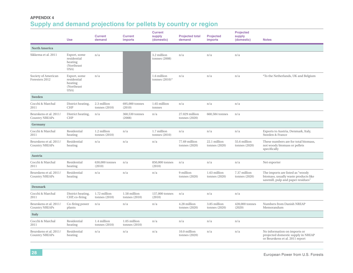# **Appendix 4Supply and demand projections for pellets by country or region**

|                                                 | <b>Use</b>                                                    | <b>Current</b><br>demand        | <b>Current</b><br><b>imports</b> | <b>Current</b><br>supply<br>(domestic) | <b>Projected total</b><br>demand | <b>Projected</b><br>imports     | <b>Projected</b><br>supply<br>(domestic) | <b>Notes</b>                                                                                                  |
|-------------------------------------------------|---------------------------------------------------------------|---------------------------------|----------------------------------|----------------------------------------|----------------------------------|---------------------------------|------------------------------------------|---------------------------------------------------------------------------------------------------------------|
| <b>North America</b>                            |                                                               |                                 |                                  |                                        |                                  |                                 |                                          |                                                                                                               |
| Sikkema et al. 2011                             | Export, some<br>residential<br>heating<br>(Northeast<br>USA)  | n/a                             |                                  | 3.2 million<br>tonnes (2008)           | n/a                              | n/a                             | n/a                                      |                                                                                                               |
| Society of American<br>Foresters 2012           | Export, some<br>residential<br>heating<br>(Northeast)<br>USA) | n/a                             |                                  | 1.6 million<br>tonnes $(2010)*$        | n/a                              | n/a                             | n/a                                      | *To the Netherlands, UK and Belgium                                                                           |
| Sweden                                          |                                                               |                                 |                                  |                                        |                                  |                                 |                                          |                                                                                                               |
| Cocchi & Marchal<br>2011                        | District heating,<br><b>CHP</b>                               | 2.3 million<br>tonnes $(2010)$  | 695,000 tonnes<br>(2010)         | 1.65 million<br>tonnes                 | n/a                              | n/a                             | n/a                                      |                                                                                                               |
| Beurskens et al. 2011/<br><b>Country NREAPs</b> | District heating,<br><b>CHP</b>                               | n/a                             | 360,530 tonnes<br>(2008)         | n/a                                    | 27.029 million<br>tonnes (2020)  | 660,584 tonnes                  | n/a                                      |                                                                                                               |
| Germany                                         |                                                               |                                 |                                  |                                        |                                  |                                 |                                          |                                                                                                               |
| Cocchi & Marchal<br>2011                        | Residential<br>heating                                        | 1.2 million<br>tonnes $(2010)$  | n/a                              | 1.7 million<br>tonnes (2010)           | n/a                              | n/a                             | n/a                                      | Exports to Austria, Denmark, Italy,<br>Sweden & France                                                        |
| Beurskens et al. 2011/<br><b>Country NREAPs</b> | Residential<br>heating                                        | n/a                             | n/a                              | n/a                                    | 77.69 million<br>tonnes (2020)   | 22.1 million<br>tonnes $(2020)$ | 55.6 million<br>tonnes (2020)            | These numbers are for total biomass,<br>not woody biomass or pellets<br>specifically                          |
| Austria                                         |                                                               |                                 |                                  |                                        |                                  |                                 |                                          |                                                                                                               |
| Cocchi & Marchal<br>2011                        | Residential<br>heating                                        | 630,000 tonnes<br>(2010)        | n/a                              | 850,000 tonnes<br>(2010)               | n/a                              | n/a                             | n/a                                      | Net exporter                                                                                                  |
| Beurskens et al. 2011/<br><b>Country NREAPs</b> | Residential<br>heating                                        | n/a                             | n/a                              | n/a                                    | 9 million<br>tonnes (2020)       | 1.63 million<br>tonnes (2020)   | 7.37 million<br>tonnes (2020)            | The imports are listed as "woody<br>biomass, usually waste products like<br>sawmill, pulp and paper residues" |
| <b>Denmark</b>                                  |                                                               |                                 |                                  |                                        |                                  |                                 |                                          |                                                                                                               |
| Cocchi & Marchal<br>2011                        | District heating,<br>CHP, co-firing                           | 1.72 million<br>tonnes $(2010)$ | 1.58 million<br>tonnes (2010)    | 137,000 tonnes<br>(2010)               | n/a                              | n/a                             | n/a                                      |                                                                                                               |
| Beurskens et al. 2011/<br><b>Country NREAPs</b> | Co-firing power<br>plants                                     | n/a                             | n/a                              | n/a                                    | 4.28 million<br>tonnes (2020)    | 3.85 million<br>tonnes (2020)   | 428,000 tonnes<br>(2020)                 | Numbers from Danish NREAP<br>Memorandum                                                                       |
| Italy                                           |                                                               |                                 |                                  |                                        |                                  |                                 |                                          |                                                                                                               |
| Cocchi & Marchal<br>2011                        | Residential<br>heating                                        | 1.4 million<br>tonnes $(2010)$  | 1.05 million<br>tonnes $(2010)$  | n/a                                    | n/a                              | n/a                             | n/a                                      |                                                                                                               |
| Beurskens et al. 2011/<br>Country NREAPs        | Residential<br>heating                                        | n/a                             | n/a                              | n/a                                    | 10.0 million<br>tonnes (2020)    | n/a                             | n/a                                      | No information on imports or<br>projected domestic supply in NREAP<br>or Beurskens et al. 2011 report         |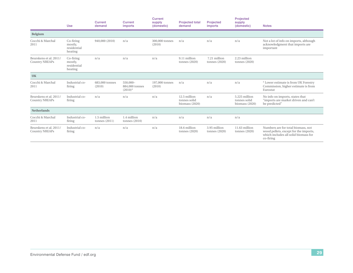|                                                |                                | imports                                   | (domestic)               | demand                                         | <b>Projected</b><br>imports   | supply<br>(domestic)                              | <b>Notes</b>                                                                                                                     |
|------------------------------------------------|--------------------------------|-------------------------------------------|--------------------------|------------------------------------------------|-------------------------------|---------------------------------------------------|----------------------------------------------------------------------------------------------------------------------------------|
|                                                |                                |                                           |                          |                                                |                               |                                                   |                                                                                                                                  |
| Co-firing<br>mostly,<br>residential<br>heating | 940,000 (2010)                 | n/a                                       | 300,000 tonnes<br>(2010) | n/a                                            | n/a                           | n/a                                               | Not a lot of info on imports, although<br>acknowledgment that imports are<br>important                                           |
| Co-firing<br>mostly,<br>residential<br>heating | n/a                            | n/a                                       | n/a                      | 9.11 million<br>tonnes (2020)                  | 7.21 million<br>tonnes (2020) | 2.23 million<br>tonnes (2020)                     |                                                                                                                                  |
|                                                |                                |                                           |                          |                                                |                               |                                                   |                                                                                                                                  |
| Industrial co-<br>firing                       | 683,000 tonnes<br>(2010)       | $550,000-$<br>884,000 tonnes<br>$(2010)*$ | 197,000 tonnes<br>(2010) | n/a                                            | n/a                           | n/a                                               | * Lower estimate is from UK Forestry<br>Commission, higher estimate is from<br>Eurostat                                          |
| Industrial co-<br>firing                       | n/a                            | n/a                                       | n/a                      | 12.5 million<br>tonnes solid<br>biomass (2020) | n/a                           | 5.225 million<br>tonnes solid<br>biomass $(2020)$ | No info on imports, states that<br>"imports are market driven and can't<br>be predicted"                                         |
|                                                |                                |                                           |                          |                                                |                               |                                                   |                                                                                                                                  |
| Industrial co-<br>firing                       | 1.5 million<br>tonnes $(2011)$ | 1.4 million<br>tonnes $(2010)$            | n/a                      | n/a                                            | n/a                           | n/a                                               |                                                                                                                                  |
| Industrial co-<br>firing                       | n/a                            | n/a                                       | n/a                      | 18.6 million<br>tonnes (2020)                  | 3.95 million<br>tonnes (2020) | 11.63 million<br>tonnes (2020)                    | Numbers are for total biomass, not<br>wood pellets, except for the imports,<br>which includes all solid biomass for<br>co-firing |
|                                                |                                |                                           |                          |                                                |                               |                                                   |                                                                                                                                  |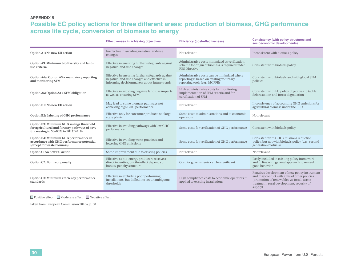#### **Appendix 5**

# **Possible EC policy actions for three different areas: production of biomass, GHG performance across life cycle, conversion of biomass to energy**

|                                                                                                                                                                                         | <b>Effectiveness in achieving objectives</b>                                                                                                   | <b>Efficiency (cost-effectiveness)</b>                                                                                   | <b>Consistency (with policy structures and</b><br>socioeconomic developments)                                                                                                                       |
|-----------------------------------------------------------------------------------------------------------------------------------------------------------------------------------------|------------------------------------------------------------------------------------------------------------------------------------------------|--------------------------------------------------------------------------------------------------------------------------|-----------------------------------------------------------------------------------------------------------------------------------------------------------------------------------------------------|
| Option A1: No new EU action                                                                                                                                                             | Ineffective in avoiding negative land-use<br>changes                                                                                           | Not relevant                                                                                                             | Inconsistent with biofuels policy                                                                                                                                                                   |
| Option A3: Minimum biodiversity and land-<br>use criteria                                                                                                                               | Effective in ensuring further safeguards against<br>negative land-use changes                                                                  | Administrative costs minimized as verification<br>scheme for origin of biomass is required under<br><b>RES Directive</b> | Consistent with biofuels policy                                                                                                                                                                     |
| Option A4a: Option A3 + mandatory reporting<br>and monitoring SFM                                                                                                                       | Effective in ensuring further safeguards against<br>negative land-use changes and effective in<br>informing decisionmakers about future trends | Administrative costs can be minimized where<br>reporting is based on existing voluntary<br>reporting tools (e.g., MCPFE) | Consistent with biofuels and with global SFM<br>policies                                                                                                                                            |
| Option A5: Option A3 + SFM obligation                                                                                                                                                   | Effective in avoiding negative land-use impacts<br>as well as ensuring SFM                                                                     | High administrative costs for monitoring<br>implementation of SFM criteria and for<br>certification of SFM               | Consistent with EU policy objectives to tackle<br>deforestation and forest degradation                                                                                                              |
| Option B1: No new EU action                                                                                                                                                             | May lead to some biomass pathways not<br>achieving high GHG performance                                                                        | Not relevant                                                                                                             | Inconsistency of accounting GHG emissions for<br>agricultural biomass under the RED                                                                                                                 |
| Option B2: Labeling of GHG performance                                                                                                                                                  | Effective only for consumer products not large-<br>scale plants                                                                                | Some costs to administrations and to economic<br>operators                                                               | Not relevant                                                                                                                                                                                        |
| Option B3: Minimum GHG savings threshold<br>for agricultural and forestry pathways of 35%<br>(increasing to 50–60% in 2017/2018)                                                        | Effective in avoiding pathways with low GHG<br>performance                                                                                     | Some costs for verification of GHG performance                                                                           | Consistent with biofuels policy                                                                                                                                                                     |
| Option B4: Minimum GHG performance in<br>Effective in avoiding worst practices and<br>accordance with GHG performance potential<br>lowering GHG emissions<br>(except for waste biomass) |                                                                                                                                                | Some costs for verification of GHG performance                                                                           | Consistent with GHG emissions reduction<br>policy, but not with biofuels policy (e.g., second<br>generation biofuels)                                                                               |
| Option C: No new EU action                                                                                                                                                              | Some improvement due to existing policies                                                                                                      | Not relevant                                                                                                             | Not relevant                                                                                                                                                                                        |
| Effective as bio-energy producers receive a<br>direct incentive, but the effect depends on<br><b>Option C2: Bonus or penalty</b><br>bonus/ penalty structure                            |                                                                                                                                                | Cost for governments can be significant                                                                                  | Easily included in existing policy framework<br>and in line with general approach to reward<br>good behavior                                                                                        |
| Effective in excluding poor performing<br>Option C3: Minimum efficiency performance<br>installations, but difficult to set unambiguous<br>standards<br>thresholds                       |                                                                                                                                                | High compliance costs to economic operators if<br>applied to existing installations                                      | Requires development of new policy instrument<br>and may conflict with aims of other policies<br>(promotion of renewables vs. fossil, waste<br>treatment, rural development, security of<br>supply) |

#### $\hfill\Box$  <br> Positive effect  $\hfill\Box$  <br> Moderate effect  $\hfill\Box$  <br> Negative effect

taken from European Commission 2010a, p. 50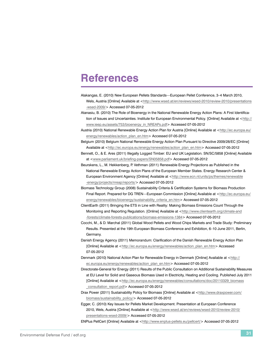# <span id="page-38-0"></span>**References**

Alakangas, E. (2010) New European Pellets Standards—European Pellet Conference, 3–4 March 2010,

Wels, Austria [Online] Available at [<http://www.wsed.at/en/reviews/wsed-2010/review-2010/presentations](http://www.wsed.at/en/reviews/wsed-2010/review-2010/presentations-wsed-2009/) [-wsed-2009/>](http://www.wsed.at/en/reviews/wsed-2010/review-2010/presentations-wsed-2009/) Accessed 07-05-2012

Atanasiu, B. (2010) The Role of Bioenergy in the National Renewable Energy Action Plans: A First Identification of Issues and Uncertainties. Institute for European Environmental Policy. [Online] Available at [<http://](http://www.ieep.eu/assets/753/bioenergy_in_NREAPs.pdf) [www.ieep.eu/assets/753/bioenergy\\_in\\_NREAPs.pdf>](http://www.ieep.eu/assets/753/bioenergy_in_NREAPs.pdf) Accessed 07-05-2012

Austria (2010) National Renewable Energy Action Plan for Austria [Online] Available at [<http://ec.europa.eu/](http://ec.europa.eu/energy/renewables/action_plan_en.htm) [energy/renewables/action\\_plan\\_en.htm>](http://ec.europa.eu/energy/renewables/action_plan_en.htm) Accessed 07-05-2012

Belgium (2010) Belgium National Renewable Energy Action Plan Pursuant to Directive 2009/28/EC [Online] Available at <[http://ec.europa.eu/energy/renewables/action\\_plan\\_en.htm>](http://ec.europa.eu/energy/renewables/action_plan_en.htm) Accessed 07-05-2012

Bennett, O., & E. Ares (2011) Illegally Logged Timber: EU and UK Legislation. SN/SC/5858 [Online] Available at <<www.parliament.uk/briefing-papers/SN05858.pdf>> Accessed 07-05-2012

Beurskens, L., M. Hekkenberg, P. Vethman (2011) Renewable Energy Projections as Published in the National Renewable Energy Action Plans of the European Member States. Energy Research Center & European Environment Agency [Online] Available at [<http://www.ecn.nl/units/ps/themes/renewable](http://www.ecn.nl/units/ps/themes/renewable-energy/projects/nreap/reports/) [-energy/projects/nreap/reports/>](http://www.ecn.nl/units/ps/themes/renewable-energy/projects/nreap/reports/) Accessed 07-05-2012

Biomass Technology Group (2008) Sustainability Criteria & Certification Systems for Biomass Production Final Report. Prepared for DG TREN—European Commission [Online] Available at <[http://ec.europa.eu/](http://ec.europa.eu/energy/renewables/bioenergy/sustainability_criteria_en.htm) [energy/renewables/bioenergy/sustainability\\_criteria\\_en.htm](http://ec.europa.eu/energy/renewables/bioenergy/sustainability_criteria_en.htm)> Accessed 07-05-2012

ClientEarth (2011) Bringing the ETS in Line with Reality: Making Biomass Emissions Count Through the Monitoring and Reporting Regulation. [Online] Available at [<http://www.clientearth.org/climate-and](http://www.clientearth.org/climate-and-forests/climate-forests-publications/biomass-emissions-1384) [-forests/climate-forests-publications/biomass-emissions-1384](http://www.clientearth.org/climate-and-forests/climate-forests-publications/biomass-emissions-1384)> Accessed 07-05-2012

- Cocchi, M., & D. Marchal (2011) Global Wood Pellets and Wood Chips Markets and Trade Study: Preliminary Results. Presented at the 19th European Biomass Conference and Exhibition, 6–10 June 2011, Berlin, Germany.
- Danish Energy Agency (2011) Memorandum: Clarification of the Danish Renewable Energy Action Plan [Online] Available at [<http://ec.europa.eu/energy/renewables/action\\_plan\\_en.htm](http://ec.europa.eu/energy/renewables/action_plan_en.htm)> Accessed 07-05-2012

Denmark (2010) National Action Plan for Renewable Energy in Denmark [Online] Available at [<http://](http://ec.europa.eu/energy/renewables/action_plan_en.htm) [ec.europa.eu/energy/renewables/action\\_plan\\_en.htm>](http://ec.europa.eu/energy/renewables/action_plan_en.htm) Accessed 07-05-2012

Directorate-General for Energy (2011) Results of the Public Consultation on Additional Sustainability Measures at EU Level for Solid and Gaseous Biomass Used in Electricity, Heating and Cooling. Published July 2011 [Online] Available at [<http://ec.europa.eu/energy/renewables/consultations/doc/20110329\\_biomass](http://ec.europa.eu/energy/renewables/consultations/doc/20110329_biomass_consultation_report.pdf) [\\_consultation\\_report.pdf](http://ec.europa.eu/energy/renewables/consultations/doc/20110329_biomass_consultation_report.pdf)> Accessed 07-05-2012

- Drax Power (2011) Sustainability Policy for Biomass [Online] Available at [<http://www.draxpower.com/](http://www.draxpower.com/biomass/sustainability_policy/) [biomass/sustainability\\_policy/>](http://www.draxpower.com/biomass/sustainability_policy/) Accessed 07-05-2012
- Egger, C. (2010) Key Issues for Pellets Market Development. Presentation at European Conference 2010, Wels, Austria [Online] Available at <[http://www.wsed.at/en/reviews/wsed-2010/review-2010/](http://www.wsed.at/en/reviews/wsed-2010/review-2010/presentations-wsed-2009/) [presentations-wsed-2009/>](http://www.wsed.at/en/reviews/wsed-2010/review-2010/presentations-wsed-2009/) Accessed 07-05-2012

ENPlus PellCert [Online] Available at [<http://www.enplus-pellets.eu/pellcert/>](http://www.enplus-pellets.eu/pellcert/) Accessed 07-05-2012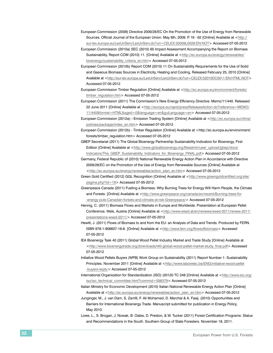- European Commission (2009) Directive 2009/28/EC On the Promotion of the Use of Energy from Renewable Sources. Official Journal of the European Union. May 6th, 2009. P. 16 - 62 [Online] Available at <[http://](http://eur-lex.europa.eu/LexUriServ/LexUriServ.do?uri=CELEX:32009L0028:EN:NOT) [eur-lex.europa.eu/LexUriServ/LexUriServ.do?uri=CELEX:32009L0028:EN:NOT](http://eur-lex.europa.eu/LexUriServ/LexUriServ.do?uri=CELEX:32009L0028:EN:NOT)> Accessed 07-05-2012
- European Commission (2010a) SEC (2010) 65 Impact Assessment Accompanying the Report on Biomass Sustainability, Report COM (2010) 11. [Online] Available at [<http://ec.europa.eu/energy/renewables/](http://ec.europa.eu/energy/renewables/bioenergy/sustainability_criteria_en.htm) bioenergy/sustainability criteria en.htm> Accessed 07-05-2012
- European Commission (2010b) Report COM (2010) 11 On Sustainability Requirements for the Use of Solid and Gaseous Biomass Sources in Electricity, Heating and Cooling. Released February 25, 2010 [Online] Available at [<http://eur-lex.europa.eu/LexUriServ/LexUriServ.do?uri=CELEX:52010DC0011:EN:HTML:NOT>](http://eur-lex.europa.eu/LexUriServ/LexUriServ.do?uri=CELEX:52010DC0011:EN:HTML:NOT) Accessed 07-05-2012
- European Commission Timber Regulation [Online] Available at <[http://ec.europa.eu/environment/forests/](http://ec.europa.eu/environment/forests/timber_regulation.htm) [timber\\_regulation.htm>](http://ec.europa.eu/environment/forests/timber_regulation.htm) Accessed 07-05-2012
- European Commission (2011) The Commission's New Energy Efficiency Directive. Memo/11/440. Released 22 June 2011 [Online] Available at [<http://europa.eu/rapid/pressReleasesAction.do?reference=MEMO/](http://europa.eu/rapid/pressReleasesAction.do?reference=MEMO/11/440&format=HTML&aged=0&language=en&guiLanguage=en) [11/440&format=HTML&aged=0&language=en&guiLanguage=en](http://europa.eu/rapid/pressReleasesAction.do?reference=MEMO/11/440&format=HTML&aged=0&language=en&guiLanguage=en)> Accessed 07-05-2012
- European Commission (2012a)—Emission Trading System [Online] Available at <http://ec.europa.eu/clima/ policies/package/index\_en.htm> Accessed 07-05-2012
- European Commission (2012b) Timber Regulation [Online] Available at <http://ec.europa.eu/environment/ forests/timber\_regulation.htm> Accessed 07-05-2012
- GBEP Secretariat (2011) The Global Bioenergy Partnership Sustainability Indicators for Bioenergy, First Edition [Online] Available at <[http://www.globalbioenergy.org/fileadmin/user\\_upload/gbep/docs/](http://www.globalbioenergy.org/fileadmin/user_upload/gbep/docs/Indicators/The_GBEP_Sustainability_Indicators_for_Bioenergy_FINAL.pdf) [Indicators/The\\_GBEP\\_Sustainability\\_Indicators\\_for\\_Bioenergy\\_FINAL.pdf>](http://www.globalbioenergy.org/fileadmin/user_upload/gbep/docs/Indicators/The_GBEP_Sustainability_Indicators_for_Bioenergy_FINAL.pdf) Accessed 07-05-2012
- Germany, Federal Republic of (2010) National Renewable Energy Action Plan in Accordance with Directive 2009/28/EC on the Promotion of the Use of Energy from Renewable Sources [Online] Available at [<http://ec.europa.eu/energy/renewables/action\\_plan\\_en.htm](http://ec.europa.eu/energy/renewables/action_plan_en.htm)> Accessed 07-05-2012
- Green Gold Certified (2012) GGL Recognition [Online] Available at [<http://www.greengoldcertified.org/site/](http://www.greengoldcertified.org/site/pagina.php?id=19) [pagina.php?id=19>](http://www.greengoldcertified.org/site/pagina.php?id=19) Accessed 07-05-2012
- Greenpeace Canada (2011) Fueling a Biomess: Why Burning Trees for Energy Will Harm People, the Climate and Forests. [Online] Available at [<http://www.greenpeace.org/canada/en/recent/Burning-trees-for](http://www.greenpeace.org/canada/en/recent/Burning-trees-for-energy-puts-Canadian-forests-and-climate-at-risk-Greenpeace/) [-energy-puts-Canadian-forests-and-climate-at-risk-Greenpeace/>](http://www.greenpeace.org/canada/en/recent/Burning-trees-for-energy-puts-Canadian-forests-and-climate-at-risk-Greenpeace/) Accessed 07-05-2012
- Hennig, C. (2011) Biomass Flows and Markets in Europe and Worldwide. Presentation at European Pellet Conference, Wels, Austria [Online] Available at <[http://www.wsed.at/en/reviews/wsed-2011/review-2011/](http://www.wsed.at/en/reviews/wsed-2011/review-2011/presentations-wsed-2011/) [presentations-wsed-2011/>](http://www.wsed.at/en/reviews/wsed-2011/review-2011/presentations-wsed-2011/) Accessed 07-05-2012
- Hewitt, J. (2011) Flows of Biomass to and from the EU: an Analysis of Data and Trends. Produced by FERN. ISBN 978-1-906607-16-6. [Online] Available at <<http://www.fern.org/flowsofbiomass>> Accessed 07-05-2012
- IEA Bioenergy Task 40 (2011) Global Wood Pellet Industry Market and Trade Study [Online] Available at <[http://www.bioenergytrade.org/downloads/t40-global-wood-pellet-market-study\\_final.pdf](http://www.bioenergytrade.org/downloads/t40-global-wood-pellet-market-study_final.pdf)> Accessed 07-05-2012
- Initiative Wood Pellets Buyers (WPB) Work Group on Sustainability (2011) Report Number 1: Sustainability Principles. November 2011 [Online] Available at <[http://www.laborelec.be/ENG/initiative-wood-pellet](http://www.laborelec.be/ENG/initiative-wood-pellet-buyers-iwpb/) [-buyers-iwpb/>](http://www.laborelec.be/ENG/initiative-wood-pellet-buyers-iwpb/) Accessed 07-05-2012
- International Organization for Standardization (ISO) (20120 TC 248 [Online] Available at [<http://www.iso.org/](http://www.iso.org/iso/iso_technical_committee.html?commid=598379) [iso/iso\\_technical\\_committee.html?commid=598379](http://www.iso.org/iso/iso_technical_committee.html?commid=598379)> Accessed 07-05-2012
- Italian Ministry for Economic Development (2010) Italian National Renewable Energy Action Plan [Online] Available at <[http://ec.europa.eu/energy/renewables/action\\_plan\\_en.htm>](http://ec.europa.eu/energy/renewables/action_plan_en.htm) Accessed 07-05-2012
- Junginger, M., J. van Dam, S. Zarrilli, F. Ali Mohamed, D. Marchal & A. Faaij. (2010) Opportunities and Barriers for International Bioenergy Trade. Manuscript submitted for publication in Energy Policy, May 2010.
- Lowe, L., S. Brogan, J. Nowak, B. Oates, D. Preston, & W. Tucker (2011) Forest Certification Programs: Status and Recommendations in the South. Southern Group of State Foresters. November 18, 2011.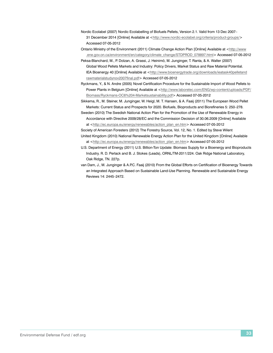- Nordic Ecolabel (2007) Nordic Ecolabelling of Biofuels Pellets, Version 2.1. Valid from 13 Dec 2007– 31 December 2014 [Online] Available at <<http://www.nordic-ecolabel.org/criteria/product-groups/>> Accessed 07-05-2012
- Ontario Ministry of the Environment (2011) Climate Change Action Plan [Online] Available at [<http://www](http://www.ene.gov.on.ca/environment/en/category/climate_change/STDPROD_078897.html) [.ene.gov.on.ca/environment/en/category/climate\\_change/STDPROD\\_078897.html>](http://www.ene.gov.on.ca/environment/en/category/climate_change/STDPROD_078897.html) Accessed 07-05-2012
- Peksa-Blanchard, M., P. Dolzan, A. Grassi, J. Heinimö, M. Junginger, T. Ranta, & A. Walter (2007) Global Wood Pellets Markets and Industry: Policy Drivers, Market Status and Raw Material Potential. IEA Bioenergy 40 [Online] Available at <[http://www.bioenergytrade.org/downloads/ieatask40pelletand](http://www.bioenergytrade.org/downloads/ieatask40pelletandrawmaterialstudynov2007final.pdf) [rawmaterialstudynov2007final.pdf](http://www.bioenergytrade.org/downloads/ieatask40pelletandrawmaterialstudynov2007final.pdf)> Accessed 07-05-2012
- Ryckmans, Y., & N. Andre (2005) Novel Certification Procedure for the Sustainable Import of Wood Pellets to Power Plants in Belgium [Online] Available at [<http://www.laborelec.com/ENG/wp-content/uploads/PDF/](http://www.laborelec.com/ENG/wp-content/uploads/PDF/Biomass/Ryckmans-OC6%204-Marketsustainability.pdf) [Biomass/Ryckmans-OC6%204-Marketsustainability.pdf](http://www.laborelec.com/ENG/wp-content/uploads/PDF/Biomass/Ryckmans-OC6%204-Marketsustainability.pdf)> Accessed 07-05-2012
- Sikkema, R., M. Steiner, M. Junginger, W. Heigl, M. T. Hansen, & A. Faaij (2011) The European Wood Pellet Markets: Current Status and Prospects for 2020. Biofuels, Bioproducts and Biorefineries 5: 250–278.
- Sweden (2010) The Swedish National Action Plan for the Promotion of the Use of Renewable Energy in Accordance with Directive 2009/28/EC and the Commission Decision of 30.06.2009 [Online] Available at <[http://ec.europa.eu/energy/renewables/action\\_plan\\_en.htm>](http://ec.europa.eu/energy/renewables/action_plan_en.htm) Accessed 07-05-2012
- Society of American Foresters (2012) The Forestry Source, Vol. 12, No. 1. Edited by Steve Wilent United Kingdom (2010) National Renewable Energy Action Plan for the United Kingdom [Online] Available at <[http://ec.europa.eu/energy/renewables/action\\_plan\\_en.htm>](http://ec.europa.eu/energy/renewables/action_plan_en.htm) Accessed 07-05-2012
- U.S. Department of Energy (2011) U.S. Billion-Ton Update: Biomass Supply for a Bioenergy and Bioproducts Industry. R. D. Perlack and B. J. Stokes (Leads), ORNL/TM-2011/224. Oak Ridge National Laboratory, Oak Ridge, TN. 227p.
- van Dam, J., M. Junginger & A.P.C. Faaij (2010) From the Global Efforts on Certification of Bioenergy Towards an Integrated Approach Based on Sustainable Land-Use Planning. Renewable and Sustainable Energy Reviews 14: 2445–2472.